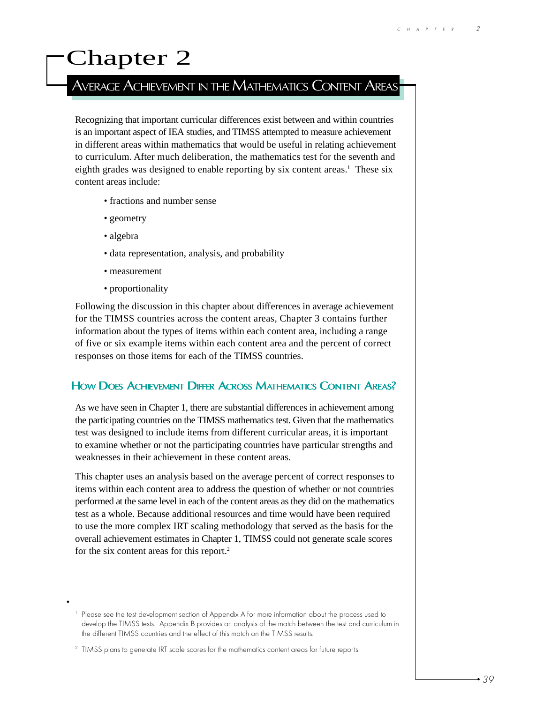# Chapter 2

# AVERAGE ACHIEVEMENT IN THE MATHEMATICS CONTENT AREAS

Recognizing that important curricular differences exist between and within countries is an important aspect of IEA studies, and TIMSS attempted to measure achievement in different areas within mathematics that would be useful in relating achievement to curriculum. After much deliberation, the mathematics test for the seventh and eighth grades was designed to enable reporting by six content areas.<sup>1</sup> These six content areas include:

- fractions and number sense
- geometry
- algebra
- data representation, analysis, and probability
- measurement
- proportionality

Following the discussion in this chapter about differences in average achievement for the TIMSS countries across the content areas, Chapter 3 contains further information about the types of items within each content area, including a range of five or six example items within each content area and the percent of correct responses on those items for each of the TIMSS countries.

#### HOW DOES ACHIEVEMENT DIFFER ACROSS MATHEMATICS CONTENT AREAS?

As we have seen in Chapter 1, there are substantial differences in achievement among the participating countries on the TIMSS mathematics test. Given that the mathematics test was designed to include items from different curricular areas, it is important to examine whether or not the participating countries have particular strengths and weaknesses in their achievement in these content areas.

This chapter uses an analysis based on the average percent of correct responses to items within each content area to address the question of whether or not countries performed at the same level in each of the content areas as they did on the mathematics test as a whole. Because additional resources and time would have been required to use the more complex IRT scaling methodology that served as the basis for the overall achievement estimates in Chapter 1, TIMSS could not generate scale scores for the six content areas for this report.<sup>2</sup>

<sup>&</sup>lt;sup>1</sup> Please see the test development section of Appendix A for more information about the process used to develop the TIMSS tests. Appendix B provides an analysis of the match between the test and curriculum in the different TIMSS countries and the effect of this match on the TIMSS results.

<sup>&</sup>lt;sup>2</sup> TIMSS plans to generate IRT scale scores for the mathematics content areas for future reports.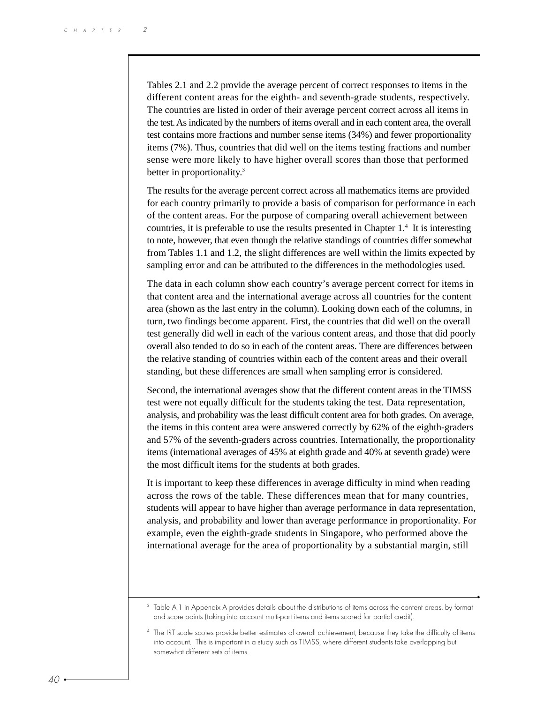Tables 2.1 and 2.2 provide the average percent of correct responses to items in the different content areas for the eighth- and seventh-grade students, respectively. The countries are listed in order of their average percent correct across all items in the test. As indicated by the numbers of items overall and in each content area, the overall test contains more fractions and number sense items (34%) and fewer proportionality items (7%). Thus, countries that did well on the items testing fractions and number sense were more likely to have higher overall scores than those that performed better in proportionality.<sup>3</sup>

The results for the average percent correct across all mathematics items are provided for each country primarily to provide a basis of comparison for performance in each of the content areas. For the purpose of comparing overall achievement between countries, it is preferable to use the results presented in Chapter 1.<sup>4</sup> It is interesting to note, however, that even though the relative standings of countries differ somewhat from Tables 1.1 and 1.2, the slight differences are well within the limits expected by sampling error and can be attributed to the differences in the methodologies used.

The data in each column show each country's average percent correct for items in that content area and the international average across all countries for the content area (shown as the last entry in the column). Looking down each of the columns, in turn, two findings become apparent. First, the countries that did well on the overall test generally did well in each of the various content areas, and those that did poorly overall also tended to do so in each of the content areas. There are differences between the relative standing of countries within each of the content areas and their overall standing, but these differences are small when sampling error is considered.

Second, the international averages show that the different content areas in the TIMSS test were not equally difficult for the students taking the test. Data representation, analysis, and probability was the least difficult content area for both grades. On average, the items in this content area were answered correctly by 62% of the eighth-graders and 57% of the seventh-graders across countries. Internationally, the proportionality items (international averages of 45% at eighth grade and 40% at seventh grade) were the most difficult items for the students at both grades.

It is important to keep these differences in average difficulty in mind when reading across the rows of the table. These differences mean that for many countries, students will appear to have higher than average performance in data representation, analysis, and probability and lower than average performance in proportionality. For example, even the eighth-grade students in Singapore, who performed above the international average for the area of proportionality by a substantial margin, still

<sup>&</sup>lt;sup>3</sup> Table A.1 in Appendix A provides details about the distributions of items across the content areas, by format and score points (taking into account multi-part items and items scored for partial credit).

<sup>4</sup> The IRT scale scores provide better estimates of overall achievement, because they take the difficulty of items into account. This is important in a study such as TIMSS, where different students take overlapping but somewhat different sets of items.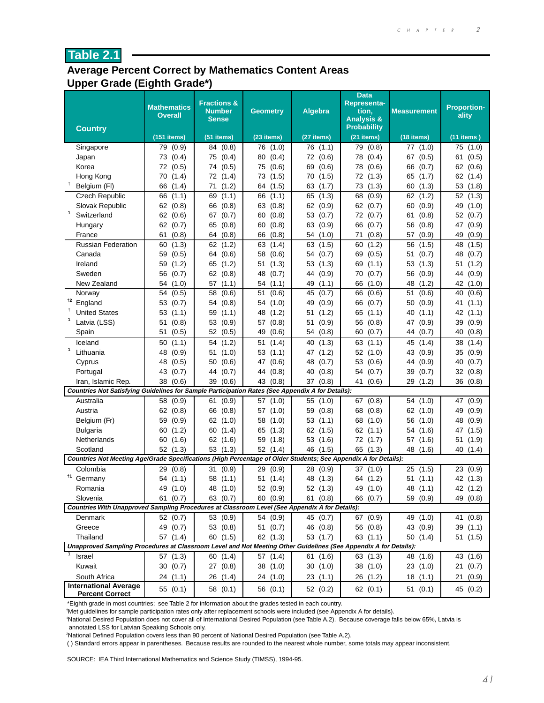#### **Average Percent Correct by Mathematics Content Areas Upper Grade (Eighth Grade\*)**

|                                                                                                                  | <b>Mathematics</b><br><b>Overall</b> | <b>Fractions &amp;</b><br><b>Number</b><br><b>Sense</b> | <b>Geometry</b> | <b>Algebra</b>       | <b>Data</b><br><b>Representa-</b><br>tion,<br><b>Analysis &amp;</b> | <b>Measurement</b>   | <b>Proportion-</b><br>ality |
|------------------------------------------------------------------------------------------------------------------|--------------------------------------|---------------------------------------------------------|-----------------|----------------------|---------------------------------------------------------------------|----------------------|-----------------------------|
| <b>Country</b>                                                                                                   | (151 items)                          | (51 items)                                              | (23 items)      | (27 items)           | <b>Probability</b><br>(21 items)                                    | (18 items)           | $(11$ items)                |
| Singapore                                                                                                        | (0.9)<br>79                          | 84 (0.8)                                                | 76 (1.0)        | (1.1)<br>76          | 79<br>(0.8)                                                         | 77 (1.0)             | (1.0)<br>75                 |
| Japan                                                                                                            | 73<br>(0.4)                          | 75 (0.4)                                                | 80<br>(0.4)     | 72<br>(0.6)          | 78<br>(0.4)                                                         | 67 (0.5)             | 61<br>(0.5)                 |
| Korea                                                                                                            | 72<br>(0.5)                          | 74 (0.5)                                                | 75 (0.6)        | 69<br>(0.6)          | 78<br>(0.6)                                                         | (0.7)<br>66          | 62<br>(0.6)                 |
| Hong Kong                                                                                                        | (1.4)<br>70                          | 72 (1.4)                                                | 73 (1.5)        | 70<br>(1.5)          | 72 (1.3)                                                            | 65<br>(1.7)          | 62<br>(1.4)                 |
| Ť<br>Belgium (FI)                                                                                                | 66<br>(1.4)                          | (1.2)<br>71                                             | 64 (1.5)        | 63<br>(1.7)          | 73<br>(1.3)                                                         | 60<br>(1.3)          | 53<br>(1.8)                 |
| <b>Czech Republic</b>                                                                                            | 66<br>(1.1)                          | 69<br>(1.1)                                             | 66 (1.1)        | 65<br>(1.3)          | 68<br>(0.9)                                                         | 62(1.2)              | 52(1.3)                     |
| Slovak Republic                                                                                                  | 62<br>(0.8)                          | (0.8)<br>66                                             | 63<br>(0.8)     | 62<br>(0.9)          | 62<br>(0.7)                                                         | (0.9)<br>60          | 49<br>(1.0)                 |
| 1<br>Switzerland                                                                                                 | 62<br>(0.6)                          | 67<br>(0.7)                                             | 60<br>(0.8)     | 53<br>(0.7)          | 72 (0.7)                                                            | 61<br>(0.8)          | 52<br>(0.7)                 |
| Hungary                                                                                                          | 62<br>(0.7)                          | 65<br>(0.8)                                             | 60<br>(0.8)     | 63<br>(0.9)          | 66<br>(0.7)                                                         | 56<br>(0.8)          | 47<br>(0.9)                 |
| France                                                                                                           | (0.8)<br>61                          | 64 (0.8)                                                | 66<br>(0.8)     | (1.0)<br>54          | 71<br>(0.8)                                                         | 57<br>(0.9)          | 49<br>(0.9)                 |
| <b>Russian Federation</b>                                                                                        | (1.3)<br>60                          | 62 (1.2)                                                | 63<br>(1.4)     | (1.5)<br>63          | (1.2)<br>60                                                         | (1.5)<br>56          | (1.5)<br>48                 |
| Canada                                                                                                           | 59<br>(0.5)                          | 64 (0.6)                                                | 58<br>(0.6)     | 54<br>(0.7)          | 69<br>(0.5)                                                         | 51<br>(0.7)          | 48<br>(0.7)                 |
| Ireland                                                                                                          | (1.2)<br>59                          | 65 (1.2)                                                | (1.3)<br>51     | (1.3)<br>53          | 69<br>(1.1)                                                         | 53<br>(1.3)          | (1.2)<br>51                 |
| Sweden                                                                                                           | 56<br>(0.7)                          | 62(0.8)                                                 | 48<br>(0.7)     | (0.9)<br>44          | (0.7)<br>70                                                         | 56<br>(0.9)          | (0.9)<br>44                 |
| New Zealand                                                                                                      | 54<br>(1.0)                          | 57<br>(1.1)                                             | 54<br>(1.1)     | 49<br>(1.1)          | 66<br>(1.0)                                                         | 48<br>(1.2)          | 42<br>(1.0)                 |
| Norway                                                                                                           | 54<br>(0.5)                          | 58<br>(0.6)                                             | (0.6)<br>51     | 45<br>(0.7)          | 66<br>(0.6)                                                         | 51<br>(0.6)          | 40<br>(0.6)                 |
| <sup>t2</sup> England                                                                                            | 53<br>(0.7)                          | 54 (0.8)                                                | 54<br>(1.0)     | 49<br>(0.9)          | 66<br>(0.7)                                                         | 50<br>(0.9)          | 41<br>(1.1)                 |
| <b>United States</b>                                                                                             | 53<br>(1.1)                          | 59 (1.1)                                                | 48<br>(1.2)     | (1.2)<br>51          | 65<br>(1.1)                                                         | 40<br>(1.1)          | 42<br>(1.1)                 |
| Latvia (LSS)                                                                                                     | 51<br>(0.8)                          | 53<br>(0.9)                                             | 57<br>(0.8)     | 51<br>(0.9)          | 56<br>(0.8)                                                         | 47<br>(0.9)          | 39<br>(0.9)                 |
| Spain                                                                                                            | 51<br>(0.5)                          | 52<br>(0.5)                                             | 49<br>(0.6)     | (0.8)<br>54          | 60<br>(0.7)                                                         | (0.7)<br>44          | (0.8)<br>40                 |
| Iceland                                                                                                          | 50<br>(1.1)                          | 54<br>(1.2)                                             | 51<br>(1.4)     | (1.3)<br>40          | 63<br>(1.1)                                                         | 45<br>(1.4)          | 38<br>(1.4)                 |
| 1<br>Lithuania                                                                                                   | 48<br>(0.9)                          | (1.0)<br>51                                             | 53 (1.1)        | (1.2)<br>47          | 52(1.0)                                                             | 43<br>(0.9)          | 35<br>(0.9)                 |
| Cyprus                                                                                                           | 48<br>(0.5)                          | 50<br>(0.6)                                             | 47<br>(0.6)     | (0.7)<br>48          | 53<br>(0.6)                                                         | 44<br>(0.9)          | 40<br>(0.7)                 |
|                                                                                                                  | 43                                   | 44                                                      | (0.8)<br>44     | 40                   | 54                                                                  | 39                   | 32                          |
| Portugal<br>Iran, Islamic Rep.                                                                                   | (0.7)<br>38<br>(0.6)                 | (0.7)<br>39<br>(0.6)                                    | 43<br>(0.8)     | (0.8)<br>37<br>(0.8) | (0.7)<br>41<br>(0.6)                                                | (0.7)<br>29<br>(1.2) | (0.8)<br>36 (0.8)           |
| Countries Not Satisfying Guidelines for Sample Participation Rates (See Appendix A for Details):                 |                                      |                                                         |                 |                      |                                                                     |                      |                             |
| Australia                                                                                                        | 58<br>(0.9)                          | (0.9)<br>61                                             | 57 (1.0)        | 55<br>(1.0)          | 67 (0.8)                                                            | 54 (1.0)             | (0.9)<br>47                 |
| Austria                                                                                                          | (0.8)<br>62                          | (0.8)<br>66                                             | 57<br>(1.0)     | (0.8)<br>59          | 68<br>(0.8)                                                         | 62 (1.0)             | 49<br>(0.9)                 |
| Belgium (Fr)                                                                                                     | 59<br>(0.9)                          | 62 (1.0)                                                | 58 (1.0)        | 53<br>(1.1)          | 68<br>(1.0)                                                         | 56<br>(1.0)          | 48<br>(0.9)                 |
| <b>Bulgaria</b>                                                                                                  | 60<br>(1.2)                          | 60 (1.4)                                                | 65<br>(1.3)     | 62<br>(1.5)          | 62<br>(1.1)                                                         | 54<br>(1.6)          | 47<br>(1.5)                 |
| Netherlands                                                                                                      | (1.6)<br>60                          | 62<br>(1.6)                                             | 59<br>(1.8)     | 53<br>(1.6)          | 72 (1.7)                                                            | 57<br>(1.6)          | 51<br>(1.9)                 |
| Scotland                                                                                                         | 52<br>(1.3)                          | 53(1.3)                                                 | 52 (1.4)        | 46<br>(1.5)          | 65<br>(1.3)                                                         | 48 (1.6)             | 40<br>(1.4)                 |
| Countries Not Meeting Age/Grade Specifications (High Percentage of Older Students; See Appendix A for Details):  |                                      |                                                         |                 |                      |                                                                     |                      |                             |
| Colombia                                                                                                         | 29 (0.8)                             | 31<br>(0.9)                                             | 29 (0.9)        | 28<br>(0.9)          | 37(1.0)                                                             | 25(1.5)              | 23(0.9)                     |
| $\dagger$ 1<br>Germany                                                                                           | 54 (1.1)                             | 58 (1.1)                                                | 51 (1.4)        | 48 (1.3)             | 64 (1.2)                                                            | 51(1.1)              | 42 (1.3)                    |
| Romania                                                                                                          | 49 (1.0)                             | 48 (1.0)                                                | 52 (0.9)        | 52 (1.3)             | 49 (1.0)                                                            | 48 (1.1)             | 42 (1.2)                    |
| Slovenia                                                                                                         | 61 (0.7)                             | 63 (0.7)                                                | 60(0.9)         | 61(0.8)              | 66 (0.7)                                                            | 59 (0.9)             | 49 (0.8)                    |
| Countries With Unapproved Sampling Procedures at Classroom Level (See Appendix A for Details):                   |                                      |                                                         |                 |                      |                                                                     |                      |                             |
| Denmark                                                                                                          | 52 (0.7)                             | 53 (0.9)                                                | 54 (0.9)        | 45 (0.7)             | 67 (0.9)                                                            | 49 (1.0)             | 41 (0.8)                    |
| Greece                                                                                                           | 49 (0.7)                             | 53 (0.8)                                                | 51 (0.7)        | 46 (0.8)             | 56 (0.8)                                                            | 43 (0.9)             | 39(1.1)                     |
| Thailand                                                                                                         | 57 (1.4)                             | 60 (1.5)                                                | 62 (1.3)        | 53 (1.7)             | 63 (1.1)                                                            | 50 (1.4)             | 51(1.5)                     |
| Unapproved Sampling Procedures at Classroom Level and Not Meeting Other Guidelines (See Appendix A for Details): |                                      |                                                         |                 |                      |                                                                     |                      |                             |
| Israel                                                                                                           | 57 (1.3)                             | 60 (1.4)                                                | 57 (1.4)        | 61 (1.6)             | 63 (1.3)                                                            | 48 (1.6)             | 43 (1.6)                    |
| Kuwait                                                                                                           | 30(0.7)                              | 27(0.8)                                                 | 38 (1.0)        | 30(1.0)              | 38 (1.0)                                                            | 23(1.0)              | 21(0.7)                     |
| South Africa                                                                                                     | 24 (1.1)                             | 26 (1.4)                                                | 24 (1.0)        | 23(1.1)              | 26 (1.2)                                                            | 18(1.1)              | 21(0.9)                     |
| <b>International Average</b><br><b>Percent Correct</b>                                                           | 55 (0.1)                             | 58 (0.1)                                                | 56 (0.1)        | 52 (0.2)             | 62 (0.1)                                                            | 51(0.1)              | 45 (0.2)                    |

\*Eighth grade in most countries; see Table 2 for information about the grades tested in each country.

† Met guidelines for sample participation rates only after replacement schools were included (see Appendix A for details).

1 National Desired Population does not cover all of International Desired Population (see Table A.2). Because coverage falls below 65%, Latvia is annotated LSS for Latvian Speaking Schools only.

2 National Defined Population covers less than 90 percent of National Desired Population (see Table A.2).

( ) Standard errors appear in parentheses. Because results are rounded to the nearest whole number, some totals may appear inconsistent.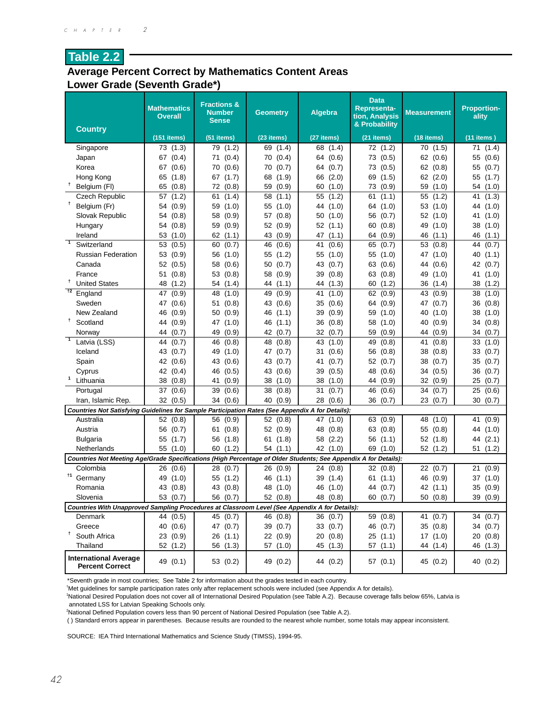#### **Average Percent Correct by Mathematics Content Areas Lower Grade (Seventh Grade\*)**

| <b>Country</b>                                                                                                                 | <b>Mathematics</b><br><b>Overall</b> | <b>Fractions &amp;</b><br><b>Number</b><br><b>Sense</b> | <b>Geometry</b> | Algebra     | <b>Data</b><br><b>Representa-</b><br>tion, Analysis<br>& Probability | <b>Measurement</b> | <b>Proportion-</b><br>ality |
|--------------------------------------------------------------------------------------------------------------------------------|--------------------------------------|---------------------------------------------------------|-----------------|-------------|----------------------------------------------------------------------|--------------------|-----------------------------|
|                                                                                                                                | $(151$ items)                        | (51 items)                                              | (23 items)      | (27 items)  | (21 items)                                                           | (18 items)         | $(11$ items)                |
| Singapore                                                                                                                      | 73 (1.3)                             | 79 (1.2)                                                | 69 (1.4)        | 68 (1.4)    | 72 (1.2)                                                             | 70 (1.5)           | 71 (1.4)                    |
| Japan                                                                                                                          | 67 (0.4)                             | (0.4)<br>71                                             | 70<br>(0.4)     | (0.6)<br>64 | (0.5)<br>73                                                          | 62(0.6)            | 55<br>(0.6)                 |
| Korea                                                                                                                          | 67 (0.6)                             | (0.6)<br>70                                             | 70<br>(0.7)     | (0.7)<br>64 | (0.5)<br>73                                                          | 62(0.8)            | (0.7)<br>55                 |
| Hong Kong                                                                                                                      | 65 (1.8)                             | (1.7)<br>67                                             | 68<br>(1.9)     | 66<br>(2.0) | 69<br>(1.5)                                                          | 62<br>(2.0)        | 55 (1.7)                    |
| Ť<br>Belgium (FI)                                                                                                              | 65 (0.8)                             | 72<br>(0.8)                                             | (0.9)<br>59     | 60<br>(1.0) | 73<br>(0.9)                                                          | (1.0)<br>59        | 54<br>(1.0)                 |
| <b>Czech Republic</b>                                                                                                          | 57(1.2)                              | 61<br>(1.4)                                             | (1.1)<br>58     | 55<br>(1.2) | (1.1)<br>61                                                          | (1.2)<br>55        | 41<br>(1.3)                 |
| Ť.<br>Belgium (Fr)                                                                                                             | 54 (0.9)                             | 59<br>(1.0)                                             | 55<br>(1.0)     | 44<br>(1.0) | 64 (1.0)                                                             | 53<br>(1.0)        | (1.0)<br>44                 |
| Slovak Republic                                                                                                                | 54<br>(0.8)                          | (0.9)<br>58                                             | 57<br>(0.8)     | (1.0)<br>50 | 56<br>(0.7)                                                          | 52<br>(1.0)        | 41<br>(1.0)                 |
| Hungary                                                                                                                        | 54 (0.8)                             | 59<br>(0.9)                                             | 52 (0.9)        | 52<br>(1.1) | 60<br>(0.8)                                                          | 49<br>(1.0)        | 38 (1.0)                    |
| Ireland                                                                                                                        | 53<br>(1.0)                          | 62(1.1)                                                 | 43 (0.9)        | 47<br>(1.1) | (0.9)<br>64                                                          | 46<br>(1.1)        | 46 (1.1)                    |
| $\overline{1}$<br>Switzerland                                                                                                  | 53 (0.5)                             | 60<br>(0.7)                                             | (0.6)<br>46     | (0.6)<br>41 | (0.7)<br>65                                                          | 53<br>(0.8)        | 44 (0.7)                    |
| <b>Russian Federation</b>                                                                                                      | 53 (0.9)                             | 56<br>(1.0)                                             | 55<br>(1.2)     | 55<br>(1.0) | (1.0)<br>55                                                          | 47<br>(1.0)        | 40<br>(1.1)                 |
| Canada                                                                                                                         | 52<br>(0.5)                          | 58<br>(0.6)                                             | 50<br>(0.7)     | 43<br>(0.7) | 63<br>(0.6)                                                          | 44<br>(0.6)        | (0.7)<br>42                 |
| France                                                                                                                         | 51<br>(0.8)                          | 53<br>(0.8)                                             | 58<br>(0.9)     | 39<br>(0.8) | 63<br>(0.8)                                                          | (1.0)<br>49        | 41<br>(1.0)                 |
| Ť<br><b>United States</b>                                                                                                      | 48<br>(1.2)                          | 54<br>(1.4)                                             | 44 (1.1)        | (1.3)<br>44 | 60<br>(1.2)                                                          | 36<br>(1.4)        | 38<br>(1.2)                 |
| $^{+2}$<br>England                                                                                                             | 47<br>(0.9)                          | 48<br>(1.0)                                             | (0.9)<br>49     | 41<br>(1.0) | 62<br>(0.9)                                                          | 43<br>(0.9)        | 38<br>(1.0)                 |
| Sweden                                                                                                                         | 47<br>(0.6)                          | (0.8)<br>51                                             | 43 (0.6)        | 35<br>(0.6) | (0.9)<br>64                                                          | 47<br>(0.7)        | 36<br>(0.8)                 |
| New Zealand                                                                                                                    | 46<br>(0.9)                          | (0.9)<br>50                                             | 46<br>(1.1)     | 39<br>(0.9) | 59<br>(1.0)                                                          | 40<br>(1.0)        | 38<br>(1.0)                 |
| Ť<br>Scotland                                                                                                                  | 44<br>(0.9)                          | 47<br>(1.0)                                             | 46<br>(1.1)     | 36<br>(0.8) | 58<br>(1.0)                                                          | 40<br>(0.9)        | 34<br>(0.8)                 |
| Norway                                                                                                                         | 44 (0.7)                             | 49<br>(0.9)                                             | 42 (0.7)        | 32<br>(0.7) | 59<br>(0.9)                                                          | (0.9)<br>44        | 34 (0.7)                    |
| $\overline{1}$<br>Latvia (LSS)                                                                                                 | 44<br>(0.7)                          | 46<br>(0.8)                                             | 48<br>(0.8)     | 43<br>(1.0) | 49<br>(0.8)                                                          | 41<br>(0.8)        | 33<br>(1.0)                 |
| Iceland                                                                                                                        | 43 (0.7)                             | 49<br>(1.0)                                             | 47 (0.7)        | (0.6)<br>31 | 56<br>(0.8)                                                          | 38<br>(0.8)        | 33<br>(0.7)                 |
| Spain                                                                                                                          | 42 (0.6)                             | 43<br>(0.6)                                             | 43<br>(0.7)     | (0.7)<br>41 | 52 (0.7)                                                             | 38<br>(0.7)        | 35<br>(0.7)                 |
| Cyprus                                                                                                                         | 42 (0.4)                             | 46<br>(0.5)                                             | 43<br>(0.6)     | 39<br>(0.5) | 48<br>(0.6)                                                          | 34<br>(0.5)        | (0.7)<br>36                 |
| Lithuania                                                                                                                      | 38 (0.8)                             | (0.9)<br>41                                             | 38<br>(1.0)     | 38<br>(1.0) | 44<br>(0.9)                                                          | 32<br>(0.9)        | 25<br>(0.7)                 |
| Portugal                                                                                                                       | 37 (0.6)                             | 39<br>(0.6)                                             | 38<br>(0.8)     | 31<br>(0.7) | 46<br>(0.6)                                                          | 34<br>(0.7)        | 25<br>(0.6)                 |
| Iran, Islamic Rep.                                                                                                             | 32(0.5)                              | (0.6)<br>34                                             | 40<br>(0.9)     | 28<br>(0.6) | 36<br>(0.7)                                                          | 23<br>(0.7)        | 30<br>(0.7)                 |
| Countries Not Satisfying Guidelines for Sample Participation Rates (See Appendix A for Details):                               |                                      |                                                         |                 |             |                                                                      |                    |                             |
| Australia                                                                                                                      | 52 (0.8)                             | 56 (0.9)                                                | 52(0.8)         | (1.0)<br>47 | 63 (0.9)                                                             | 48<br>(1.0)        | 41<br>(0.9)                 |
| Austria                                                                                                                        | 56 (0.7)                             | (0.8)<br>61                                             | 52 (0.9)        | 48<br>(0.8) | 63<br>(0.8)                                                          | 55<br>(0.8)        | (1.0)<br>44                 |
| <b>Bulgaria</b>                                                                                                                | 55<br>(1.7)                          | 56<br>(1.8)                                             | 61(1.8)         | (2.2)<br>58 | 56<br>(1.1)                                                          | 52(1.8)            | (2.1)<br>44                 |
| Netherlands<br>Countries Not Meeting Age/Grade Specifications (High Percentage of Older Students; See Appendix A for Details): | 55 (1.0)                             | 60<br>(1.2)                                             | 54 (1.1)        | 42 (1.0)    | 69<br>(1.0)                                                          | 52 (1.2)           | 51 (1.2)                    |
| Colombia                                                                                                                       | 26 (0.6)                             | 28 (0.7)                                                | 26(0.9)         | 24 (0.8)    | 32(0.8)                                                              | 22(0.7)            | (0.9)<br>21                 |
| <sup>†1</sup> Germany                                                                                                          | 49 (1.0)                             | 55 (1.2)                                                | 46 (1.1)        | 39 (1.4)    | 61(1.1)                                                              | 46 (0.9)           | 37 (1.0)                    |
| Romania                                                                                                                        | 43 (0.8)                             | 43 (0.8)                                                | 48 (1.0)        | 46 (1.0)    | 44 (0.7)                                                             | 42 (1.1)           | 35 (0.9)                    |
| Slovenia                                                                                                                       | 53 (0.7)                             | 56 (0.7)                                                | 52 (0.8)        | 48 (0.8)    | 60 (0.7)                                                             | 50(0.8)            | 39 (0.9)                    |
| Countries With Unapproved Sampling Procedures at Classroom Level (See Appendix A for Details):                                 |                                      |                                                         |                 |             |                                                                      |                    |                             |
| Denmark                                                                                                                        | 44 (0.5)                             | 45 (0.7)                                                | 46 (0.8)        | 36 (0.7)    | 59 (0.8)                                                             | 41 (0.7)           | 34(0.7)                     |
| Greece                                                                                                                         | 40 (0.6)                             | 47 (0.7)                                                | 39 (0.7)        | 33(0.7)     | 46 (0.7)                                                             | 35 (0.8)           | 34 (0.7)                    |
| <sup>†</sup> South Africa                                                                                                      | 23(0.9)                              | 26(1.1)                                                 | 22(0.9)         | 20 (0.8)    | 25(1.1)                                                              | 17(1.0)            | 20 (0.8)                    |
| Thailand                                                                                                                       | 52 (1.2)                             | 56 (1.3)                                                | 57 (1.0)        | 45 (1.3)    | 57(1.1)                                                              | 44 (1.4)           | 46 (1.3)                    |
| <b>International Average</b><br><b>Percent Correct</b>                                                                         | 49 (0.1)                             | 53 (0.2)                                                | 49 (0.2)        | 44 (0.2)    | 57(0.1)                                                              | 45 (0.2)           | 40 (0.2)                    |

\*Seventh grade in most countries; See Table 2 for information about the grades tested in each country.

† Met guidelines for sample participation rates only after replacement schools were included (see Appendix A for details).

1 National Desired Population does not cover all of International Desired Population (see Table A.2). Because coverage falls below 65%, Latvia is

annotated LSS for Latvian Speaking Schools only.

2 National Defined Population covers less than 90 percent of National Desired Population (see Table A.2).

( ) Standard errors appear in parentheses. Because results are rounded to the nearest whole number, some totals may appear inconsistent.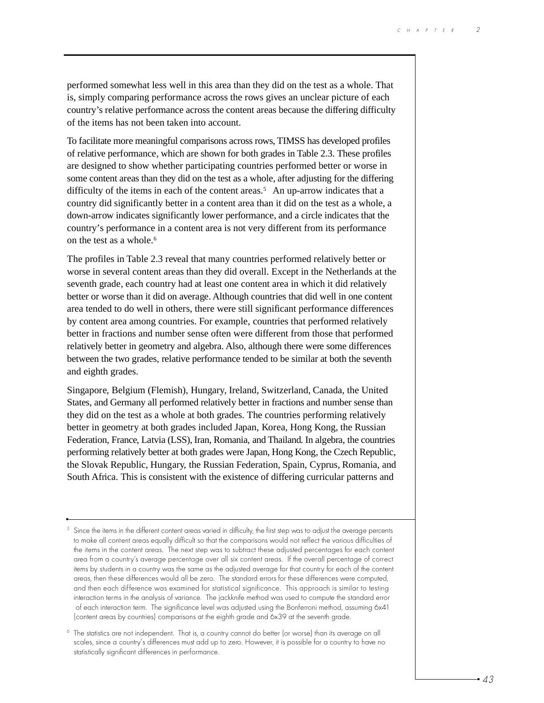performed somewhat less well in this area than they did on the test as a whole. That is, simply comparing performance across the rows gives an unclear picture of each country's relative performance across the content areas because the differing difficulty of the items has not been taken into account.

To facilitate more meaningful comparisons across rows, TIMSS has developed profiles of relative performance, which are shown for both grades in Table 2.3. These profiles are designed to show whether participating countries performed better or worse in some content areas than they did on the test as a whole, after adjusting for the differing difficulty of the items in each of the content areas.<sup>5</sup> An up-arrow indicates that a country did significantly better in a content area than it did on the test as a whole, a down-arrow indicates significantly lower performance, and a circle indicates that the country's performance in a content area is not very different from its performance on the test as a whole.<sup>6</sup>

The profiles in Table 2.3 reveal that many countries performed relatively better or worse in several content areas than they did overall. Except in the Netherlands at the seventh grade, each country had at least one content area in which it did relatively better or worse than it did on average. Although countries that did well in one content area tended to do well in others, there were still significant performance differences by content area among countries. For example, countries that performed relatively better in fractions and number sense often were different from those that performed relatively better in geometry and algebra. Also, although there were some differences between the two grades, relative performance tended to be similar at both the seventh and eighth grades.

Singapore, Belgium (Flemish), Hungary, Ireland, Switzerland, Canada, the United States, and Germany all performed relatively better in fractions and number sense than they did on the test as a whole at both grades. The countries performing relatively better in geometry at both grades included Japan, Korea, Hong Kong, the Russian Federation, France, Latvia (LSS), Iran, Romania, and Thailand. In algebra, the countries performing relatively better at both grades were Japan, Hong Kong, the Czech Republic, the Slovak Republic, Hungary, the Russian Federation, Spain, Cyprus, Romania, and South Africa. This is consistent with the existence of differing curricular patterns and

 $5$  Since the items in the different content areas varied in difficulty, the first step was to adjust the average percents to make all content areas equally difficult so that the comparisons would not reflect the various difficulties of the items in the content areas. The next step was to subtract these adjusted percentages for each content area from a country's average percentage over all six content areas. If the overall percentage of correct items by students in a country was the same as the adjusted average for that country for each of the content areas, then these differences would all be zero. The standard errors for these differences were computed, and then each difference was examined for statistical significance. This approach is similar to testing interaction terms in the analysis of variance. The jackknife method was used to compute the standard error of each interaction term. The significance level was adjusted using the Bonferroni method, assuming 6x41 (content areas by countries) comparisons at the eighth grade and 6x39 at the seventh grade.

<sup>6</sup> The statistics are not independent. That is, a country cannot do better (or worse) than its average on all scales, since a country's differences must add up to zero. However, it is possible for a country to have no statistically significant differences in performance.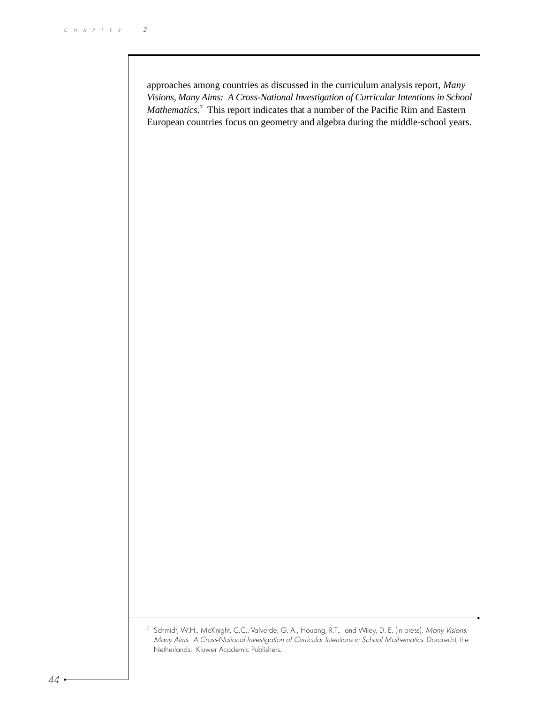approaches among countries as discussed in the curriculum analysis report, *Many Visions, Many Aims: A Cross-National Investigation of Curricular Intentions in School* Mathematics.<sup>7</sup> This report indicates that a number of the Pacific Rim and Eastern European countries focus on geometry and algebra during the middle-school years.

 $^7\,$  Schmidt, W.H., McKnight, C.C., Valverde, G. A., Houang, R.T.,  $\,$  and Wiley, D. E. (in press). *Many Visions,* Many Aims: A Cross-National Investigation of Curricular Intentions in School Mathematics. Dordrecht, the Netherlands: Kluwer Academic Publishers.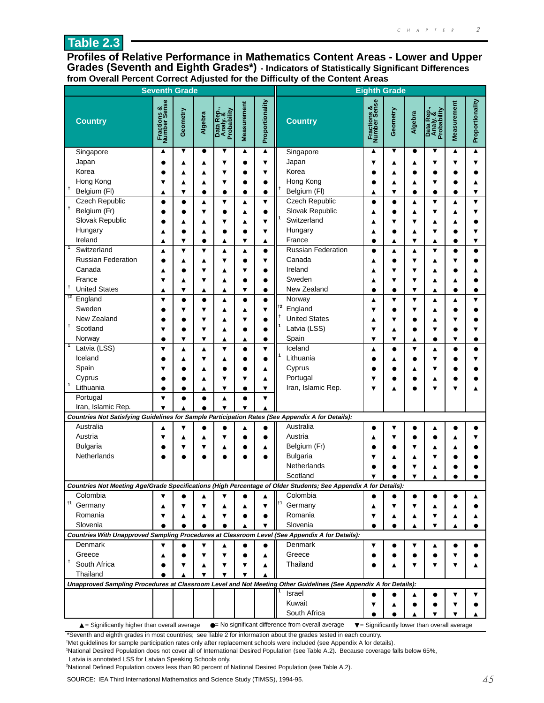**Profiles of Relative Performance in Mathematics Content Areas - Lower and Upper Grades (Seventh and Eighth Grades\*) - Indicators of Statistically Significant Differences from Overall Percent Correct Adjusted for the Difficulty of the Content Areas**

|                                                                                                  | <b>Seventh Grade</b>        |                         |           |                                       |                      |                         | <b>Eighth Grade</b>                                                                                                         |                             |                         |           |                                                                 |             |                 |
|--------------------------------------------------------------------------------------------------|-----------------------------|-------------------------|-----------|---------------------------------------|----------------------|-------------------------|-----------------------------------------------------------------------------------------------------------------------------|-----------------------------|-------------------------|-----------|-----------------------------------------------------------------|-------------|-----------------|
| <b>Country</b>                                                                                   | Fractions &<br>Number Sense | Geometry                | Algebra   | Data Rep.,<br>Analy. &<br>Probability | <b>Measurement</b>   | Proportionality         | <b>Country</b>                                                                                                              | Fractions &<br>Number Sense | Geometry                | Algebra   | Data Rep.,<br>Analy. &<br>Probability                           | Measurement | Proportionality |
| Singapore                                                                                        | $\blacktriangle$            | ▼                       | $\bullet$ | ▼                                     | ▲                    | ▲                       | Singapore                                                                                                                   | ▲                           | ▼                       | $\bullet$ | ▼                                                               | ▲           |                 |
| Japan                                                                                            |                             | ▲                       |           | ▼                                     | $\bullet$            | $\overline{\mathbf{v}}$ | Japan                                                                                                                       |                             | ▲                       | ▲         | ▼                                                               |             |                 |
| Korea                                                                                            |                             |                         | ▲         | ▼                                     | ٠                    | ▼                       | Korea                                                                                                                       |                             | ▲                       |           |                                                                 |             |                 |
| Hong Kong                                                                                        | ▼                           | ▲                       | ▲         | ▼                                     |                      | $\bullet$               | Hong Kong                                                                                                                   |                             | ▲                       | ▲         | ▼                                                               |             |                 |
| $\ddot{\phantom{1}}$<br>Belgium (FI)                                                             | ▲                           | ▼                       |           | $\bullet$                             | $\bullet$            | $\bullet$               | $\mathsf{t}$<br>Belgium (FI)                                                                                                | ▲                           | $\overline{\mathbf{v}}$ | $\bullet$ |                                                                 |             |                 |
| Czech Republic                                                                                   | $\bullet$                   | $\bullet$               | ▲         | $\overline{\mathbf{v}}$               | ▲                    | $\overline{\mathbf{v}}$ | Czech Republic                                                                                                              | $\bullet$                   | $\bullet$               | ▲         | ▼                                                               | ▲           |                 |
| $\ddagger$<br>Belgium (Fr)                                                                       |                             |                         | v         | $\bullet$                             | ▲                    | $\bullet$               | Slovak Republic                                                                                                             |                             | $\bullet$               | ▲         | ▼                                                               |             |                 |
| Slovak Republic                                                                                  |                             | ▲                       |           | ▼                                     | ▲                    | ▼                       | Switzerland                                                                                                                 |                             | ▼                       | ▼         | ▲                                                               |             |                 |
| Hungary                                                                                          | ▲                           |                         | ▲         | $\bullet$                             |                      | ▼                       | Hungary                                                                                                                     |                             | ٠                       | ▲         | ▼                                                               |             |                 |
| Ireland                                                                                          | ▲                           | ▼                       |           | ▲                                     | ▼                    | ▲                       | France                                                                                                                      |                             | ▲                       | ▼         | ▲                                                               |             |                 |
| -1<br>Switzerland                                                                                | ▲                           | ▼                       | ▼         | ▲                                     | ▲                    | $\bullet$               | Russian Federation                                                                                                          |                             | ▲                       | ▲         | ▼                                                               |             |                 |
| <b>Russian Federation</b>                                                                        |                             | ▲                       | ▲         | ▼                                     | ٠                    | ▼                       | Canada                                                                                                                      |                             | ٠                       | ▼         | Δ                                                               |             |                 |
| Canada                                                                                           | ▲                           |                         |           | ▲                                     | ▼                    |                         | Ireland                                                                                                                     |                             | ▼                       | ▼         | ▲                                                               |             |                 |
| France                                                                                           | ▼                           | ▲                       | ▼         | ▲                                     |                      | $\bullet$               | Sweden                                                                                                                      | ▲                           | ▼                       | ▼         | ▲                                                               | ▲           |                 |
| t<br><b>United States</b>                                                                        | ▲                           | $\overline{\mathbf{v}}$ | ▲         | $\blacktriangle$                      | ▼                    | $\bullet$               | New Zealand                                                                                                                 | $\bullet$                   | $\bullet$               | ▼         | ▲                                                               | $\bullet$   |                 |
| $\overline{12}$<br>England                                                                       | ▼                           | $\bullet$               | $\bullet$ | ▲                                     | $\bullet$            | $\bullet$               | Norway                                                                                                                      |                             | ▼                       | ▼         | ▲                                                               |             |                 |
| Sweden                                                                                           |                             | ▼                       | v         | ▲                                     | ▲                    | $\overline{\mathbf{v}}$ | $\dagger$<br>England                                                                                                        | ▼                           |                         | ▼         | ▲                                                               |             |                 |
| New Zealand                                                                                      |                             |                         |           | ▲                                     | ▼                    | $\bullet$               | <b>United States</b>                                                                                                        | ▲                           | ▼                       | $\bullet$ | ▲                                                               |             |                 |
| $\ddagger$<br>Scotland                                                                           | ▼                           | $\bullet$               | ▼         | ▲                                     |                      | $\bullet$               | Latvia (LSS)                                                                                                                | ▼                           | ▲                       | $\bullet$ | ▼                                                               |             |                 |
| Norway                                                                                           | $\bullet$                   | $\overline{\mathbf{v}}$ | ▼         | ▲                                     | ▲                    | $\bullet$               | Spain                                                                                                                       | ▼                           | ▼                       | ▲         | $\bullet$                                                       | ▼           |                 |
| $\vert$ 1<br>Latvia (LSS)                                                                        | ▼                           | ▲                       | ▲         | ▼                                     | $\bullet$            | $\overline{\mathbf{v}}$ | Iceland                                                                                                                     | ▲                           | $\bullet$               | ▼         | ▲                                                               |             |                 |
| Iceland                                                                                          |                             |                         |           | ▲                                     | 0                    | $\bullet$               | Lithuania                                                                                                                   |                             | ▲                       | $\bullet$ |                                                                 |             |                 |
| Spain                                                                                            |                             |                         |           |                                       |                      | ▲                       | Cyprus                                                                                                                      |                             |                         | ▲         |                                                                 |             |                 |
| Cyprus<br>$\mathbf{1}$                                                                           |                             |                         | ▲         | ▼                                     | ▼                    | ▲                       | Portugal                                                                                                                    |                             |                         | e         | ▲                                                               |             |                 |
| Lithuania                                                                                        |                             |                         | ▲         | $\overline{\mathbf{v}}$               | $\bullet$            | ▼                       | Iran, Islamic Rep.                                                                                                          |                             |                         |           |                                                                 |             |                 |
| Portugal                                                                                         | $\overline{\mathbf{v}}$     | $\bullet$               | $\bullet$ | A                                     | $\bullet$            | $\overline{\mathbf{v}}$ |                                                                                                                             |                             |                         |           |                                                                 |             |                 |
| Iran, Islamic Rep.                                                                               | $\overline{\mathbf{v}}$     | ▲                       | $\bullet$ | $\blacktriangledown$                  | $\blacktriangledown$ |                         |                                                                                                                             |                             |                         |           |                                                                 |             |                 |
| Countries Not Satisfying Guidelines for Sample Participation Rates (See Appendix A for Details): |                             |                         |           |                                       |                      |                         |                                                                                                                             |                             |                         |           |                                                                 |             |                 |
| Australia                                                                                        |                             |                         |           |                                       | ▲                    |                         | Australia                                                                                                                   |                             | ▼                       |           | ▲                                                               |             |                 |
| Austria                                                                                          | ▼                           | ▲                       | ▲         | ▼                                     |                      | ٠                       | Austria                                                                                                                     |                             | ▼                       |           |                                                                 |             |                 |
| <b>Bulgaria</b>                                                                                  |                             | ▼                       | ▼         | ▲                                     |                      | ▲                       | Belgium (Fr)                                                                                                                |                             |                         | ▼         | ▲                                                               |             |                 |
| Netherlands                                                                                      |                             |                         |           |                                       |                      |                         | <b>Bulgaria</b>                                                                                                             |                             | ▲                       | ▲         |                                                                 |             |                 |
|                                                                                                  |                             |                         |           |                                       |                      |                         | Netherlands<br>Scotland                                                                                                     |                             |                         | ▼         |                                                                 |             |                 |
|                                                                                                  |                             |                         |           |                                       |                      |                         |                                                                                                                             |                             |                         | ▼         | ٨                                                               |             |                 |
| Colombia                                                                                         | $\blacktriangledown$        | $\bullet$               | ▲         | ▼                                     |                      | ▲                       | Countries Not Meeting Age/Grade Specifications (High Percentage of Older Students; See Appendix A for Details):<br>Colombia |                             |                         |           |                                                                 |             |                 |
| $\dagger$ 1<br>Germany                                                                           |                             |                         |           |                                       |                      | ▼                       | $\dagger$ 1<br>Germany                                                                                                      |                             | v                       | ▼         |                                                                 |             |                 |
| Romania                                                                                          | ▲<br>▼                      | ▲                       | ▲         | ▲<br>▼                                | ▲                    | $\bullet$               | Romania                                                                                                                     | ▲<br>▼                      | ▲                       | ▲         | ▼                                                               |             |                 |
| Slovenia                                                                                         |                             | $\bullet$               | $\bullet$ | $\bullet$                             | ▲                    | ▼                       | Slovenia                                                                                                                    |                             | $\bullet$               | ▲         | ▼                                                               | ▲           |                 |
|                                                                                                  |                             |                         |           |                                       |                      |                         | Countries With Unapproved Sampling Procedures at Classroom Level (See Appendix A for Details):                              |                             |                         |           |                                                                 |             |                 |
| Denmark                                                                                          | ▼                           |                         | ▼         | ▲                                     | $\bullet$            | $\bullet$               | Denmark                                                                                                                     | ▼                           |                         | ▼         |                                                                 |             |                 |
| Greece                                                                                           | ▲                           |                         |           | ▼                                     |                      | ▲                       | Greece                                                                                                                      |                             |                         |           |                                                                 |             |                 |
| Ť<br>South Africa                                                                                |                             |                         | ▲         | ▼                                     | ▼                    | ▲                       | Thailand                                                                                                                    |                             | ▲                       | ▼         |                                                                 |             |                 |
| Thailand                                                                                         |                             |                         | ▼         | ▼                                     |                      |                         |                                                                                                                             |                             |                         |           |                                                                 |             |                 |
|                                                                                                  |                             |                         |           |                                       |                      |                         | Unapproved Sampling Procedures at Classroom Level and Not Meeting Other Guidelines (See Appendix A for Details):            |                             |                         |           |                                                                 |             |                 |
|                                                                                                  |                             |                         |           |                                       |                      |                         | Israel                                                                                                                      |                             |                         | ▲         | e                                                               | ▼           | ▼               |
|                                                                                                  |                             |                         |           |                                       |                      |                         | Kuwait                                                                                                                      |                             | ▲                       |           |                                                                 |             |                 |
|                                                                                                  |                             |                         |           |                                       |                      |                         | South Africa                                                                                                                |                             |                         | ▲         |                                                                 |             |                 |
| $\triangle$ = Significantly higher than overall average                                          |                             |                         |           |                                       |                      |                         | • No significant difference from overall average                                                                            |                             |                         |           | $\blacktriangledown$ = Significantly lower than overall average |             |                 |

\*Seventh and eighth grades in most countries; see Table 2 for information about the grades tested in each country.

† Met guidelines for sample participation rates only after replacement schools were included (see Appendix A for details).

1 National Desired Population does not cover all of International Desired Population (see Table A.2). Because coverage falls below 65%,

Latvia is annotated LSS for Latvian Speaking Schools only.

2 National Defined Population covers less than 90 percent of National Desired Population (see Table A.2).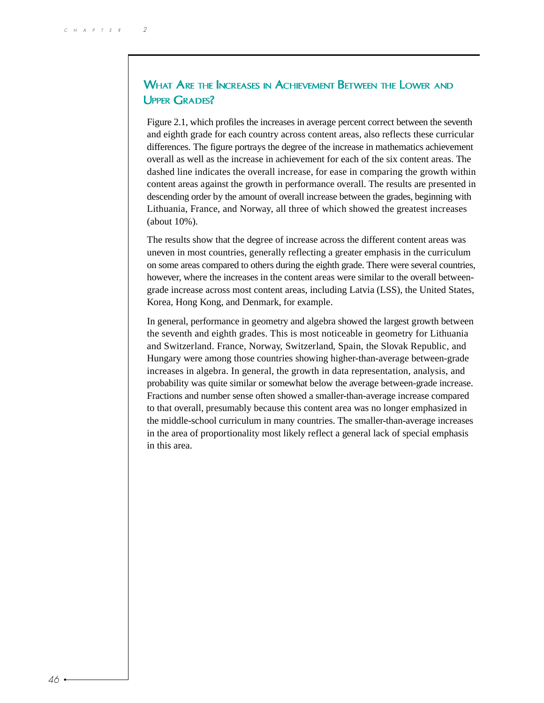## WHAT ARE THE INCREASES IN ACHIEVEMENT BETWEEN THE LOWER AND UPPER GRADES?

Figure 2.1, which profiles the increases in average percent correct between the seventh and eighth grade for each country across content areas, also reflects these curricular differences. The figure portrays the degree of the increase in mathematics achievement overall as well as the increase in achievement for each of the six content areas. The dashed line indicates the overall increase, for ease in comparing the growth within content areas against the growth in performance overall. The results are presented in descending order by the amount of overall increase between the grades, beginning with Lithuania, France, and Norway, all three of which showed the greatest increases (about 10%).

The results show that the degree of increase across the different content areas was uneven in most countries, generally reflecting a greater emphasis in the curriculum on some areas compared to others during the eighth grade. There were several countries, however, where the increases in the content areas were similar to the overall betweengrade increase across most content areas, including Latvia (LSS), the United States, Korea, Hong Kong, and Denmark, for example.

In general, performance in geometry and algebra showed the largest growth between the seventh and eighth grades. This is most noticeable in geometry for Lithuania and Switzerland. France, Norway, Switzerland, Spain, the Slovak Republic, and Hungary were among those countries showing higher-than-average between-grade increases in algebra. In general, the growth in data representation, analysis, and probability was quite similar or somewhat below the average between-grade increase. Fractions and number sense often showed a smaller-than-average increase compared to that overall, presumably because this content area was no longer emphasized in the middle-school curriculum in many countries. The smaller-than-average increases in the area of proportionality most likely reflect a general lack of special emphasis in this area.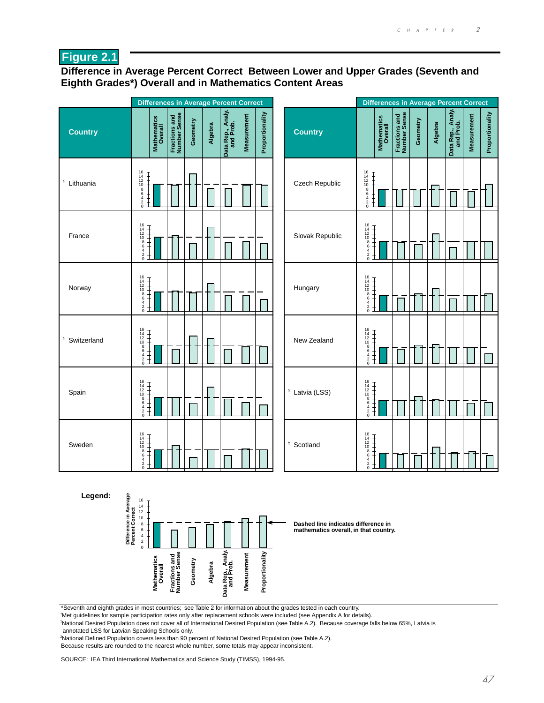## **Figure 2.1**

#### **Difference in Average Percent Correct Between Lower and Upper Grades (Seventh and Eighth Grades\*) Overall and in Mathematics Content Areas**

|                                                     | <b>Differences in Average Percent Correct</b>                                               |                               |          |         |                                |                    |                 |                                                                              |                                                                                |                                           |                               |          |         | <b>Differences in Average Percent Correct</b> |                    |                 |
|-----------------------------------------------------|---------------------------------------------------------------------------------------------|-------------------------------|----------|---------|--------------------------------|--------------------|-----------------|------------------------------------------------------------------------------|--------------------------------------------------------------------------------|-------------------------------------------|-------------------------------|----------|---------|-----------------------------------------------|--------------------|-----------------|
| <b>Country</b>                                      | Mathematics<br>Overall                                                                      | Fractions and<br>Number Sense | Geometry | Algebra | Data Rep., Analy.<br>and Prob. | <b>Measurement</b> | Proportionality | <b>Country</b>                                                               |                                                                                | <b>Mathematics</b><br>Overall             | Fractions and<br>Number Sense | Geometry | Algebra | Data Rep., Analy.                             | <b>Measurement</b> | Proportionality |
| <sup>1</sup> Lithuania                              | $16$<br>$14$<br>$10$<br>$8$<br>$6$<br>$4$<br>$2$<br>$0$<br>$\frac{1}{1}$                    |                               |          |         |                                |                    |                 | Czech Republic                                                               | $16$<br>$14$<br>$12$<br>$10$<br>$8$<br>$6$<br>$4$<br>$2$<br>$0$<br>Ŧ<br>Ŧ      |                                           |                               |          |         |                                               |                    |                 |
| France                                              | 16<br>14<br>12<br>10<br>8<br>6<br>4<br>2<br>0<br>$+ + + + +$                                |                               |          |         |                                |                    |                 | Slovak Republic                                                              | $\begin{array}{c}\n16 \\ 14 \\ 12 \\ 10 \\ 8 \\ 6 \\ 4 \\ 2 \\ 0\n\end{array}$ | $\frac{1}{1}$                             |                               |          |         |                                               |                    |                 |
| Norway                                              | 16<br>14<br>12<br>10<br>8<br>6<br>4<br>2<br>0<br><b>H+++++</b>                              |                               |          |         |                                |                    |                 | Hungary                                                                      | $16$<br>$12$<br>$10$<br>$8$<br>$6$<br>$4$<br>$2$<br>$0$                        | <br> <br> <br> <br> <br> <br><br><br><br> |                               |          |         |                                               |                    |                 |
| <sup>1</sup> Switzerland                            | 16<br>14<br>12<br>10<br>8<br>6<br>4<br>2<br>0<br>$+ + + +$                                  |                               |          |         |                                |                    |                 | New Zealand                                                                  | $16$<br>$14$<br>$10$<br>$8$<br>$6$<br>$4$<br>$2$<br>$0$                        | $\frac{1}{1}$                             |                               |          |         |                                               |                    |                 |
| Spain                                               | 16<br>14<br>12<br>10<br>8<br>6<br>4<br>2<br>0<br> <br> <br> <br> <br> <br> <br><br><br><br> |                               |          |         |                                |                    |                 | <sup>1</sup> Latvia (LSS)                                                    | $16$<br>$14$<br>$12$<br>$10$<br>$8$<br>$6$<br>$4$<br>$2$<br>$0$                | <br> <br> <br> <br> <br> <br><br><br>     |                               |          |         |                                               |                    | ſ               |
| Sweden                                              | 16<br>14<br>12<br>10<br>8<br>6<br>4<br>2<br>0<br>$\frac{1}{1}$                              |                               |          |         |                                |                    |                 | <sup>†</sup> Scotland                                                        | $16$<br>$14$<br>$12$<br>$10$<br>$8$<br>$6$<br>$4$<br>$2$<br>$0$                | $\frac{1}{1}$<br>$\frac{1}{1}$            |                               |          |         |                                               |                    |                 |
| Legend:<br>Difference in Average<br>Percent Correct | $\frac{16}{14}$<br>14<br>10<br>$\bf 8$<br>$\,6\,$<br>$\overline{a}$<br>$\overline{2}$       |                               |          |         |                                |                    |                 | Dashed line indicates difference in<br>mathematics overall, in that country. |                                                                                |                                           |                               |          |         |                                               |                    |                 |

\*Seventh and eighth grades in most countries; see Table 2 for information about the grades tested in each country.

**Algebra**

**Data Rep., Analy. and Prob.**

**Data Rep., Analy.<br>and Prob.** 

† Met guidelines for sample participation rates only after replacement schools were included (see Appendix A for details).

National Desired Population does not cover all of International Desired Population (see Table A.2). Because coverage falls below 65%, Latvia is

**Measurement**

Measurement

**Proportionality**

Proportionality

annotated LSS for Latvian Speaking Schools only.

 National Defined Population covers less than 90 percent of National Desired Population (see Table A.2). Because results are rounded to the nearest whole number, some totals may appear inconsistent.

**Geometry**

Fractions and<br>Number Sense

SOURCE: IEA Third International Mathematics and Science Study (TIMSS), 1994-95.

**Mathematics**

**Mathematics**<br>Overall **Fractions and Number Sense**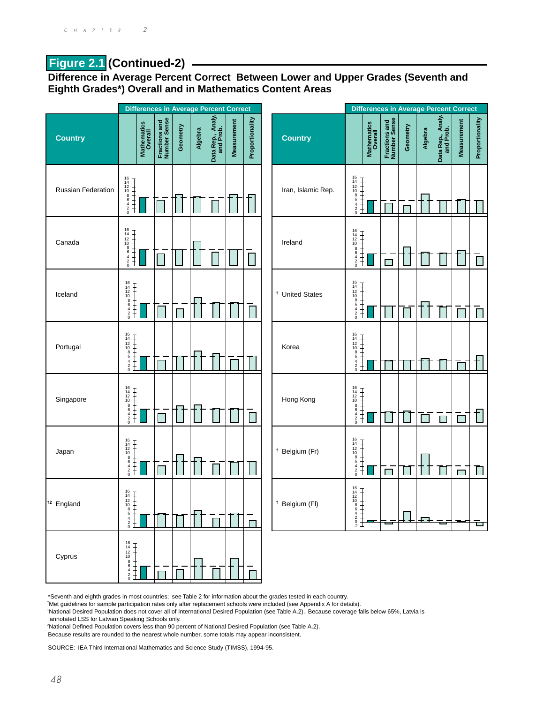## **Figure 2.1 (Continued-2)**

**Difference in Average Percent Correct Between Lower and Upper Grades (Seventh and Eighth Grades\*) Overall and in Mathematics Content Areas**



\*Seventh and eighth grades in most countries; see Table 2 for information about the grades tested in each country.

† Met guidelines for sample participation rates only after replacement schools were included (see Appendix A for details).

1 National Desired Population does not cover all of International Desired Population (see Table A.2). Because coverage falls below 65%, Latvia is

annotated LSS for Latvian Speaking Schools only.

2 National Defined Population covers less than 90 percent of National Desired Population (see Table A.2).

Because results are rounded to the nearest whole number, some totals may appear inconsistent.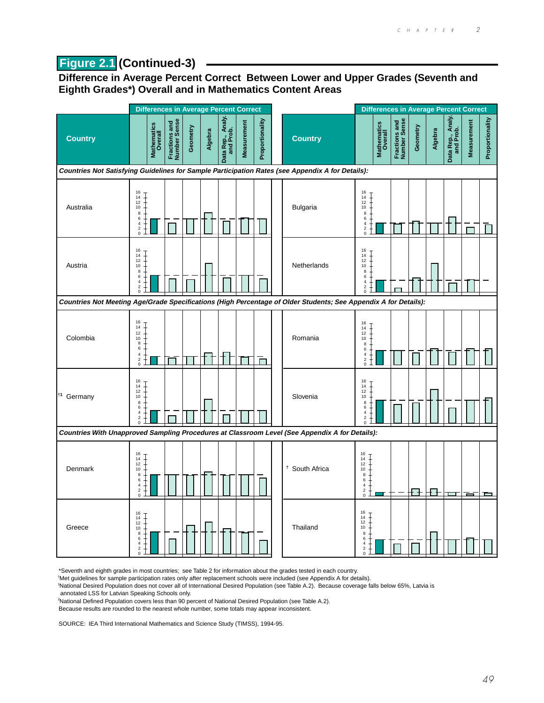## **Figure 2.1 (Continued-3)**

**Difference in Average Percent Correct Between Lower and Upper Grades (Seventh and Eighth Grades\*) Overall and in Mathematics Content Areas**



\*Seventh and eighth grades in most countries; see Table 2 for information about the grades tested in each country.

† Met guidelines for sample participation rates only after replacement schools were included (see Appendix A for details).

 National Desired Population does not cover all of International Desired Population (see Table A.2). Because coverage falls below 65%, Latvia is annotated LSS for Latvian Speaking Schools only.

National Defined Population covers less than 90 percent of National Desired Population (see Table A.2).

Because results are rounded to the nearest whole number, some totals may appear inconsistent.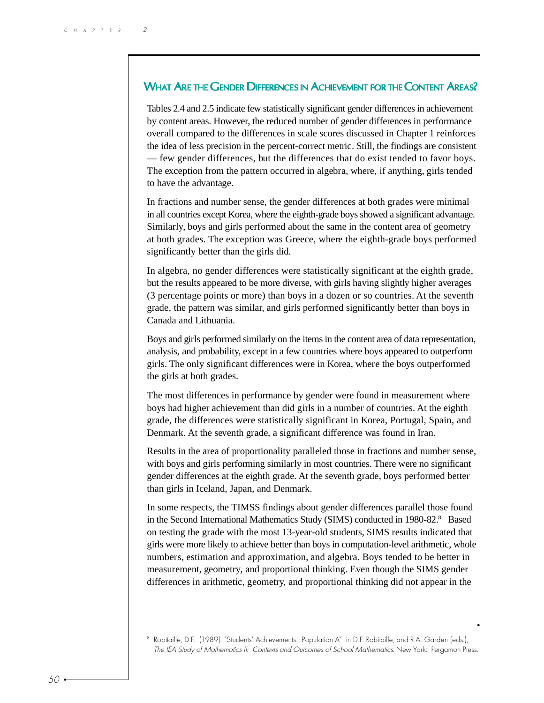#### WHAT ARE THE GENDER DIFFERENCES IN ACHIEVEMENT FOR THE CONTENT AREAS?

Tables 2.4 and 2.5 indicate few statistically significant gender differences in achievement by content areas. However, the reduced number of gender differences in performance overall compared to the differences in scale scores discussed in Chapter 1 reinforces the idea of less precision in the percent-correct metric. Still, the findings are consistent — few gender differences, but the differences that do exist tended to favor boys. The exception from the pattern occurred in algebra, where, if anything, girls tended to have the advantage.

In fractions and number sense, the gender differences at both grades were minimal in all countries except Korea, where the eighth-grade boys showed a significant advantage. Similarly, boys and girls performed about the same in the content area of geometry at both grades. The exception was Greece, where the eighth-grade boys performed significantly better than the girls did.

In algebra, no gender differences were statistically significant at the eighth grade, but the results appeared to be more diverse, with girls having slightly higher averages (3 percentage points or more) than boys in a dozen or so countries. At the seventh grade, the pattern was similar, and girls performed significantly better than boys in Canada and Lithuania.

Boys and girls performed similarly on the items in the content area of data representation, analysis, and probability, except in a few countries where boys appeared to outperform girls. The only significant differences were in Korea, where the boys outperformed the girls at both grades.

The most differences in performance by gender were found in measurement where boys had higher achievement than did girls in a number of countries. At the eighth grade, the differences were statistically significant in Korea, Portugal, Spain, and Denmark. At the seventh grade, a significant difference was found in Iran.

Results in the area of proportionality paralleled those in fractions and number sense, with boys and girls performing similarly in most countries. There were no significant gender differences at the eighth grade. At the seventh grade, boys performed better than girls in Iceland, Japan, and Denmark.

In some respects, the TIMSS findings about gender differences parallel those found in the Second International Mathematics Study (SIMS) conducted in 1980-82.<sup>8</sup> Based on testing the grade with the most 13-year-old students, SIMS results indicated that girls were more likely to achieve better than boys in computation-level arithmetic, whole numbers, estimation and approximation, and algebra. Boys tended to be better in measurement, geometry, and proportional thinking. Even though the SIMS gender differences in arithmetic, geometry, and proportional thinking did not appear in the

<sup>8</sup> Robitaille, D.F. (1989). "Students' Achievements: Population A" in D.F. Robitaille, and R.A. Garden (eds.), The IEA Study of Mathematics II: Contexts and Outcomes of School Mathematics. New York: Pergamon Press.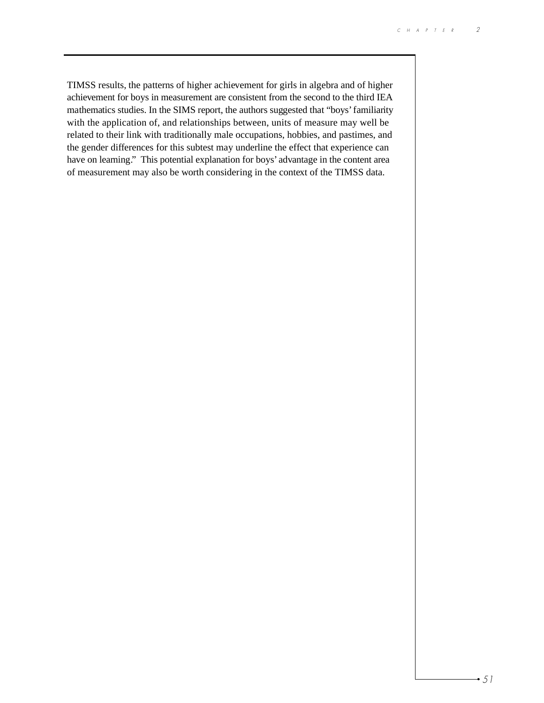TIMSS results, the patterns of higher achievement for girls in algebra and of higher achievement for boys in measurement are consistent from the second to the third IEA mathematics studies. In the SIMS report, the authors suggested that "boys' familiarity with the application of, and relationships between, units of measure may well be related to their link with traditionally male occupations, hobbies, and pastimes, and the gender differences for this subtest may underline the effect that experience can have on learning." This potential explanation for boys' advantage in the content area of measurement may also be worth considering in the context of the TIMSS data.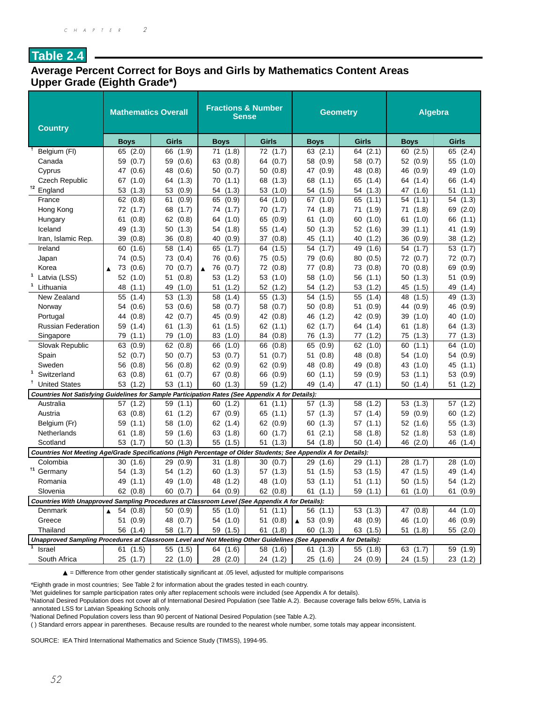#### **Average Percent Correct for Boys and Girls by Mathematics Content Areas Upper Grade (Eighth Grade\*)**

| <b>Country</b>                                                                                                   | <b>Mathematics Overall</b>   |              | <b>Fractions &amp; Number</b><br><b>Sense</b> |             | <b>Geometry</b>      |              | Algebra     |             |  |
|------------------------------------------------------------------------------------------------------------------|------------------------------|--------------|-----------------------------------------------|-------------|----------------------|--------------|-------------|-------------|--|
|                                                                                                                  | <b>Boys</b>                  | <b>Girls</b> | <b>Boys</b>                                   | Girls       | <b>Boys</b>          | <b>Girls</b> | Boys        | Girls       |  |
| Belgium (FI)                                                                                                     | 65 (2.0)                     | (1.9)<br>66  | 71 (1.8)                                      | 72 (1.7)    | 63 (2.1)             | 64 (2.1)     | 60(2.5)     | 65 (2.4)    |  |
| Canada                                                                                                           | (0.7)<br>59                  | (0.6)<br>59  | 63 (0.8)                                      | 64<br>(0.7) | 58 (0.9)             | 58<br>(0.7)  | 52 (0.9)    | 55 (1.0)    |  |
| Cyprus                                                                                                           | 47<br>(0.6)                  | 48<br>(0.6)  | 50(0.7)                                       | 50<br>(0.8) | 47 (0.9)             | 48 (0.8)     | 46 (0.9)    | 49 (1.0)    |  |
| Czech Republic                                                                                                   | (1.0)<br>67                  | (1.3)<br>64  | 70 (1.1)                                      | 68<br>(1.3) | 68 (1.1)             | 65<br>(1.4)  | 64 (1.4)    | 66<br>(1.4) |  |
| †2<br>England                                                                                                    | 53<br>(1.3)                  | 53<br>(0.9)  | 54<br>(1.3)                                   | 53<br>(1.0) | 54<br>(1.5)          | 54<br>(1.3)  | 47<br>(1.6) | 51<br>(1.1) |  |
| France                                                                                                           | 62<br>(0.8)                  | 61<br>(0.9)  | 65<br>(0.9)                                   | 64<br>(1.0) | 67 (1.0)             | 65<br>(1.1)  | 54<br>(1.1) | 54<br>(1.3) |  |
| Hong Kong                                                                                                        | (1.7)<br>72                  | 68<br>(1.7)  | (1.7)<br>74                                   | 70<br>(1.7) | 74 (1.8)             | 71<br>(1.9)  | (1.8)<br>71 | 69<br>(2.0) |  |
| Hungary                                                                                                          | (0.8)<br>61                  | 62<br>(0.8)  | (1.0)<br>64                                   | 65<br>(0.9) | (1.0)<br>61          | 60<br>(1.0)  | 61<br>(1.0) | 66<br>(1.1) |  |
| Iceland                                                                                                          | 49<br>(1.3)                  | 50<br>(1.3)  | 54 (1.8)                                      | 55<br>(1.4) | 50 (1.3)             | 52 (1.6)     | 39 (1.1)    | 41<br>(1.9) |  |
| Iran, Islamic Rep.                                                                                               | (0.8)<br>39                  | 36<br>(0.8)  | (0.9)<br>40                                   | 37<br>(0.8) | 45 (1.1)             | 40<br>(1.2)  | 36 (0.9)    | 38<br>(1.2) |  |
| Ireland                                                                                                          | 60<br>(1.6)                  | 58<br>(1.4)  | 65<br>(1.7)                                   | 64<br>(1.5) | 54<br>(1.7)          | (1.6)<br>49  | 54<br>(1.7) | 53<br>(1.7) |  |
| Japan                                                                                                            | (0.5)<br>74                  | (0.4)<br>73  | 76 (0.6)                                      | 75<br>(0.5) | 79 (0.6)             | 80<br>(0.5)  | 72 (0.7)    | 72 (0.7)    |  |
| Korea                                                                                                            | 73<br>(0.6)<br>▲             | (0.7)<br>70  | - 76<br>(0.7)<br>▲                            | 72<br>(0.8) | 77 (0.8)             | 73 (0.8)     | 70 (0.8)    | 69<br>(0.9) |  |
| Latvia (LSS)                                                                                                     | 52<br>(1.0)                  | 51<br>(0.8)  | 53<br>(1.2)                                   | 53<br>(1.0) | 58<br>(1.0)          | 56<br>(1.1)  | 50 (1.3)    | 51<br>(0.9) |  |
| Lithuania                                                                                                        | 48<br>(1.1)                  | 49<br>(1.0)  | 51<br>(1.2)                                   | 52<br>(1.2) | 54 (1.2)             | 53<br>(1.2)  | 45 (1.5)    | 49<br>(1.4) |  |
| New Zealand                                                                                                      | 55<br>(1.4)                  | (1.3)<br>53  | 58<br>(1.4)                                   | 55<br>(1.3) | (1.5)<br>54          | 55<br>(1.4)  | 48<br>(1.5) | 49<br>(1.3) |  |
| Norway                                                                                                           | (0.6)<br>54                  | 53<br>(0.6)  | 58 (0.7)                                      | 58<br>(0.7) | 50<br>(0.8)          | 51<br>(0.9)  | 44 (0.9)    | 46<br>(0.9) |  |
| Portugal                                                                                                         | 44<br>(0.8)                  | 42<br>(0.7)  | 45<br>(0.9)                                   | 42<br>(0.8) | 46<br>(1.2)          | 42<br>(0.9)  | 39 (1.0)    | 40<br>(1.0) |  |
| <b>Russian Federation</b>                                                                                        | 59<br>(1.4)                  | (1.3)<br>61  | (1.5)<br>61                                   | 62(1.1)     | 62 (1.7)             | (1.4)<br>64  | (1.8)<br>61 | 64<br>(1.3) |  |
| Singapore                                                                                                        | 79<br>(1.1)                  | 79<br>(1.0)  | 83 (1.0)                                      | 84 (0.8)    | 76 (1.3)             | 77<br>(1.2)  | 75 (1.3)    | (1.3)<br>77 |  |
| Slovak Republic                                                                                                  | 63<br>(0.9)                  | 62<br>(0.8)  | 66<br>(1.0)                                   | 66<br>(0.8) | 65<br>(0.9)          | 62<br>(1.0)  | 60<br>(1.1) | 64 (1.0)    |  |
| Spain                                                                                                            | 52<br>(0.7)                  | 50<br>(0.7)  | 53 (0.7)                                      | 51<br>(0.7) | (0.8)<br>51          | 48<br>(0.8)  | 54 (1.0)    | 54 (0.9)    |  |
| Sweden                                                                                                           | 56<br>(0.8)                  | (0.8)<br>56  | 62(0.9)                                       | 62(0.9)     | 48 (0.8)             | 49<br>(0.8)  | 43 (1.0)    | 45 (1.1)    |  |
| Switzerland                                                                                                      | 63<br>(0.8)                  | 61<br>(0.7)  | 67 (0.8)                                      | 66<br>(0.9) | 60 (1.1)             | 59<br>(0.9)  | 53 (1.1)    | 53 (0.9)    |  |
| Ť<br><b>United States</b>                                                                                        | 53<br>(1.2)                  | (1.1)<br>53  | 60(1.3)                                       | 59<br>(1.2) | 49 (1.4)             | 47<br>(1.1)  | 50 (1.4)    | 51<br>(1.2) |  |
| Countries Not Satisfying Guidelines for Sample Participation Rates (See Appendix A for Details):                 |                              |              |                                               |             |                      |              |             |             |  |
| Australia                                                                                                        | (1.2)<br>57                  | 59<br>(1.1)  | 60<br>(1.2)                                   | (1.1)<br>61 | 57(1.3)              | (1.2)<br>58  | 53 (1.3)    | 57 (1.2)    |  |
| Austria                                                                                                          | (0.8)<br>63                  | (1.2)<br>61  | 67 (0.9)                                      | 65<br>(1.1) | 57 (1.3)             | 57<br>(1.4)  | 59 (0.9)    | 60<br>(1.2) |  |
| Belgium (Fr)                                                                                                     | 59<br>(1.1)                  | 58<br>(1.0)  | 62 (1.4)                                      | 62 (0.9)    | 60 (1.3)             | 57 (1.1)     | 52 (1.6)    | 55 (1.3)    |  |
| Netherlands                                                                                                      | (1.8)<br>61                  | 59<br>(1.6)  | 63 (1.8)                                      | 60<br>(1.7) | (2.1)<br>61          | 58<br>(1.8)  | 52 (1.8)    | 53 (1.8)    |  |
| Scotland                                                                                                         | 53<br>(1.7)                  | 50<br>(1.3)  | 55 (1.5)                                      | 51<br>(1.3) | 54 (1.8)             | 50 (1.4)     | 46 (2.0)    | 46 (1.4)    |  |
| Countries Not Meeting Age/Grade Specifications (High Percentage of Older Students; See Appendix A for Details):  |                              |              |                                               |             |                      |              |             |             |  |
| Colombia                                                                                                         | (1.6)<br>30                  | 29<br>(0.9)  | 31<br>(1.8)                                   | 30<br>(0.7) | 29 (1.6)             | 29(1.1)      | 28<br>(1.7) | 28 (1.0)    |  |
| †1<br>Germany                                                                                                    | (1.3)<br>54                  | (1.2)<br>54  | 60(1.3)                                       | 57 (1.3)    | 51 (1.5)             | 53 (1.5)     | 47 (1.5)    | 49<br>(1.4) |  |
| Romania                                                                                                          | 49 (1.1)                     | 49 (1.0)     | 48 (1.2)                                      | 48 (1.0)    | 53(1.1)              | 51(1.1)      | 50 (1.5)    | 54 (1.2)    |  |
| Slovenia                                                                                                         | 62 (0.8)                     | 60 (0.7)     | 64 (0.9)                                      | 62 (0.8)    | 61(1.1)              | 59 (1.1)     | 61 (1.0)    | 61 (0.9)    |  |
| Countries With Unapproved Sampling Procedures at Classroom Level (See Appendix A for Details):                   |                              |              |                                               |             |                      |              |             |             |  |
| Denmark                                                                                                          | 54 (0.8)<br>$\blacktriangle$ | 50(0.9)      | 55 (1.0)                                      | 51(1.1)     | 56 (1.1)             | 53 (1.3)     | 47 (0.8)    | 44 (1.0)    |  |
| Greece                                                                                                           | 51 (0.9)                     | 48 (0.7)     | 54 (1.0)                                      | 51(0.8)     | $\triangle$ 53 (0.9) | 48 (0.9)     | 46 (1.0)    | 46 (0.9)    |  |
| Thailand                                                                                                         | 56 (1.4)                     | 58 (1.7)     | 59 (1.5)                                      | 61 (1.8)    | 60 (1.3)             | 63 (1.5)     | 51 (1.8)    | 55 (2.0)    |  |
| Unapproved Sampling Procedures at Classroom Level and Not Meeting Other Guidelines (See Appendix A for Details): |                              |              |                                               |             |                      |              |             |             |  |
| Israel                                                                                                           | 61 (1.5)                     | 55 (1.5)     | 64 (1.6)                                      | 58 (1.6)    | 61 (1.3)             | 55 (1.8)     | 63 (1.7)    | 59 (1.9)    |  |
| South Africa                                                                                                     | 25 (1.7)                     | 22 (1.0)     | 28 (2.0)                                      | 24 (1.2)    | 25 (1.6)             | 24 (0.9)     | 24 (1.5)    | 23 (1.2)    |  |

▲ = Difference from other gender statistically significant at .05 level, adjusted for multiple comparisons

\*Eighth grade in most countries; See Table 2 for information about the grades tested in each country.

† Met guidelines for sample participation rates only after replacement schools were included (see Appendix A for details).

1 National Desired Population does not cover all of International Desired Population (see Table A.2). Because coverage falls below 65%, Latvia is annotated LSS for Latvian Speaking Schools only.

2 National Defined Population covers less than 90 percent of National Desired Population (see Table A.2).

( ) Standard errors appear in parentheses. Because results are rounded to the nearest whole number, some totals may appear inconsistent.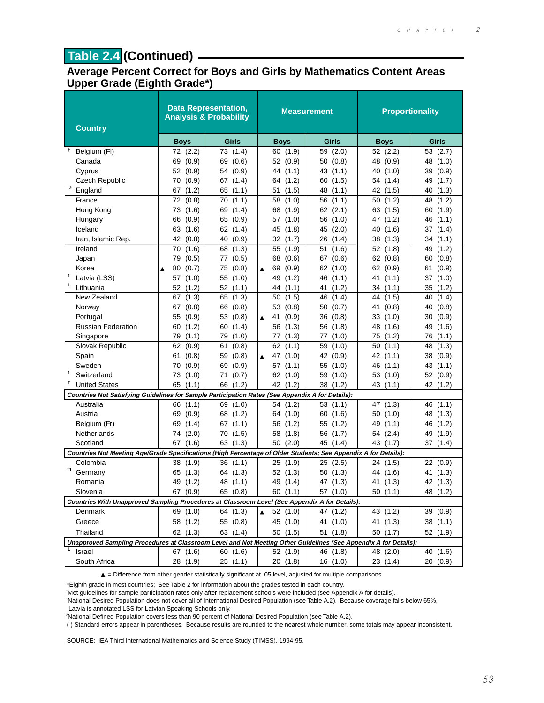## **Table 2.4 (Continued)**

#### **Average Percent Correct for Boys and Girls by Mathematics Content Areas Upper Grade (Eighth Grade\*)**

| <b>Country</b>                                                                                                   |                  | <b>Data Representation,</b><br><b>Analysis &amp; Probability</b> |                             | <b>Measurement</b> | <b>Proportionality</b> |              |  |
|------------------------------------------------------------------------------------------------------------------|------------------|------------------------------------------------------------------|-----------------------------|--------------------|------------------------|--------------|--|
|                                                                                                                  | <b>Boys</b>      | Girls                                                            | <b>Boys</b>                 | Girls              | <b>Boys</b>            | <b>Girls</b> |  |
| Ť.<br>Belgium (FI)                                                                                               | 72 (2.2)         | 73 (1.4)                                                         | 60 (1.9)                    | 59 (2.0)           | 52 (2.2)               | 53 (2.7)     |  |
| Canada                                                                                                           | (0.9)<br>69      | 69<br>(0.6)                                                      | 52 (0.9)                    | 50 (0.8)           | 48 (0.9)               | 48 (1.0)     |  |
| Cyprus                                                                                                           | 52 (0.9)         | 54 (0.9)                                                         | 44 (1.1)                    | 43 (1.1)           | 40 (1.0)               | 39 (0.9)     |  |
| Czech Republic                                                                                                   | (0.9)<br>70      | 67 (1.4)                                                         | 64 (1.2)                    | 60 (1.5)           | (1.4)<br>54            | 49<br>(1.7)  |  |
| †2<br>England                                                                                                    | (1.2)<br>67      | 65 (1.1)                                                         | (1.5)<br>51                 | 48<br>(1.1)        | 42<br>(1.5)            | (1.3)<br>40  |  |
| France                                                                                                           | 72<br>(0.8)      | (1.1)<br>70                                                      | 58<br>(1.0)                 | 56<br>(1.1)        | 50<br>(1.2)            | 48<br>(1.2)  |  |
| Hong Kong                                                                                                        | 73<br>(1.6)      | 69<br>(1.4)                                                      | 68 (1.9)                    | 62 (2.1)           | 63 (1.5)               | (1.9)<br>60  |  |
| Hungary                                                                                                          | 66<br>(0.9)      | 65 (0.9)                                                         | 57 (1.0)                    | 56 (1.0)           | 47<br>(1.2)            | (1.1)<br>46  |  |
| Iceland                                                                                                          | 63<br>(1.6)      | 62 (1.4)                                                         | 45<br>(1.8)                 | 45<br>(2.0)        | 40<br>(1.6)            | 37<br>(1.4)  |  |
| Iran, Islamic Rep.                                                                                               | 42 (0.8)         | 40 (0.9)                                                         | 32 (1.7)                    | 26<br>(1.4)        | (1.3)<br>38            | 34(1.1)      |  |
| Ireland                                                                                                          | 70<br>(1.6)      | 68<br>(1.3)                                                      | 55<br>(1.9)                 | 51<br>(1.6)        | 52<br>(1.8)            | 49<br>(1.2)  |  |
| Japan                                                                                                            | (0.5)<br>79      | (0.5)<br>77                                                      | 68 (0.6)                    | (0.6)<br>67        | 62(0.8)                | (0.8)<br>60  |  |
| Korea                                                                                                            | 80<br>(0.7)<br>▲ | (0.8)<br>75                                                      | 69<br>(0.9)<br>▲            | 62 (1.0)           | 62 (0.9)               | (0.9)<br>61  |  |
| 1<br>Latvia (LSS)                                                                                                | (1.0)<br>57      | 55 (1.0)                                                         | 49 (1.2)                    | 46 (1.1)           | 41<br>(1.1)            | (1.0)<br>37  |  |
| 1<br>Lithuania                                                                                                   | (1.2)<br>52      | 52(1.1)                                                          | 44 (1.1)                    | (1.2)<br>41        | (1.1)<br>34            | 35<br>(1.2)  |  |
| New Zealand                                                                                                      | 67<br>(1.3)      | 65 (1.3)                                                         | 50(1.5)                     | (1.4)<br>46        | (1.5)<br>44            | (1.4)<br>40  |  |
| Norway                                                                                                           | 67<br>(0.8)      | (0.8)<br>66                                                      | 53 (0.8)                    | (0.7)<br>50        | 41<br>(0.8)            | (0.8)<br>40  |  |
| Portugal                                                                                                         | 55<br>(0.9)      | 53<br>(0.8)                                                      | (0.9)<br>41<br>▲            | (0.8)<br>36        | (1.0)<br>33            | (0.9)<br>30  |  |
| <b>Russian Federation</b>                                                                                        | (1.2)<br>60      | 60<br>(1.4)                                                      | 56 (1.3)                    | (1.8)<br>56        | 48<br>(1.6)            | 49<br>(1.6)  |  |
| Singapore                                                                                                        | 79<br>(1.1)      | 79 (1.0)                                                         | 77 (1.3)                    | (1.0)<br>77        | (1.2)<br>75            | (1.1)<br>76  |  |
| Slovak Republic                                                                                                  | 62 (0.9)         | 61<br>(0.8)                                                      | 62 (1.1)                    | (1.0)<br>59        | (1.1)<br>50            | (1.3)<br>48  |  |
| Spain                                                                                                            | 61<br>(0.8)      | (0.8)<br>59                                                      | 47 (1.0)<br>▲               | 42<br>(0.9)        | 42 (1.1)               | 38<br>(0.9)  |  |
| Sweden                                                                                                           | 70<br>(0.9)      | 69<br>(0.9)                                                      | 57 (1.1)                    | 55<br>(1.0)        | 46<br>(1.1)            | 43<br>(1.1)  |  |
| 1<br>Switzerland                                                                                                 | 73<br>(1.0)      | 71<br>(0.7)                                                      | 62 (1.0)                    | 59 (1.0)           | 53 (1.0)               | 52 (0.9)     |  |
| <b>United States</b>                                                                                             | 65<br>(1.1)      | 66 (1.2)                                                         | 42 (1.2)                    | 38 (1.2)           | 43 (1.1)               | 42 (1.2)     |  |
| Countries Not Satisfying Guidelines for Sample Participation Rates (See Appendix A for Details):                 |                  |                                                                  |                             |                    |                        |              |  |
| Australia                                                                                                        | (1.1)<br>66      | 69 (1.0)                                                         | 54 (1.2)                    | 53(1.1)            | (1.3)<br>47            | 46 (1.1)     |  |
| Austria                                                                                                          | 69<br>(0.9)      | 68 (1.2)                                                         | 64 (1.0)                    | 60 (1.6)           | 50<br>(1.0)            | 48 (1.3)     |  |
| Belgium (Fr)                                                                                                     | (1.4)<br>69      | 67(1.1)                                                          | (1.2)<br>56                 | 55 (1.2)           | 49<br>(1.1)            | 46 (1.2)     |  |
| Netherlands                                                                                                      | (2.0)<br>74      | 70 (1.5)                                                         | 58 (1.8)                    | 56 (1.7)           | (2.4)<br>54            | (1.9)<br>49  |  |
| Scotland                                                                                                         | (1.6)<br>67      | 63<br>(1.3)                                                      | (2.0)<br>50                 | 45 (1.4)           | 43<br>(1.7)            | (1.4)<br>37  |  |
| Countries Not Meeting Age/Grade Specifications (High Percentage of Older Students; See Appendix A for Details):  |                  |                                                                  |                             |                    |                        |              |  |
| Colombia<br>†1                                                                                                   | 38 (1.9)         | 36(1.1)                                                          | 25(1.9)                     | 25 (2.5)           | 24 (1.5)               | 22 (0.9)     |  |
| Germany                                                                                                          | (1.3)<br>65      | 64 (1.3)                                                         | 52(1.3)                     | (1.3)<br>50        | (1.6)<br>44            | 41<br>(1.3)  |  |
| Romania                                                                                                          | 49 (1.2)         | 48 (1.1)                                                         | 49 (1.4)                    | 47 (1.3)           | 41 (1.3)               | 42 (1.3)     |  |
| Slovenia                                                                                                         | 67 (0.9)         | 65 (0.8)                                                         | 60 (1.1)                    | 57 (1.0)           | 50(1.1)                | 48 (1.2)     |  |
| Countries With Unapproved Sampling Procedures at Classroom Level (See Appendix A for Details):                   |                  |                                                                  |                             |                    |                        |              |  |
| Denmark                                                                                                          | 69 (1.0)         | 64 (1.3)                                                         | 52(1.0)<br>$\blacktriangle$ | 47 (1.2)           | 43 (1.2)               | 39 (0.9)     |  |
| Greece                                                                                                           | 58 (1.2)         | 55 (0.8)                                                         | 45 (1.0)                    | 41 (1.0)           | 41 (1.3)               | 38 (1.1)     |  |
| Thailand                                                                                                         | 62 (1.3)         | 63 (1.4)                                                         | 50(1.5)                     | 51 (1.8)           | 50(1.7)                | 52 (1.9)     |  |
| Unapproved Sampling Procedures at Classroom Level and Not Meeting Other Guidelines (See Appendix A for Details): |                  |                                                                  |                             |                    |                        |              |  |
| Israel                                                                                                           | 67 (1.6)         | 60 (1.6)                                                         | 52 (1.9)                    | 46 (1.8)           | 48 (2.0)               | 40 (1.6)     |  |
| South Africa                                                                                                     | 28 (1.9)         | 25(1.1)                                                          | 20(1.8)                     | 16(1.0)            | 23(1.4)                | 20(0.9)      |  |

▲ = Difference from other gender statistically significant at .05 level, adjusted for multiple comparisons

\*Eighth grade in most countries; See Table 2 for information about the grades tested in each country.

† Met guidelines for sample participation rates only after replacement schools were included (see Appendix A for details).

1 National Desired Population does not cover all of International Desired Population (see Table A.2). Because coverage falls below 65%, Latvia is annotated LSS for Latvian Speaking Schools only.

2 National Defined Population covers less than 90 percent of National Desired Population (see Table A.2).

( ) Standard errors appear in parentheses. Because results are rounded to the nearest whole number, some totals may appear inconsistent.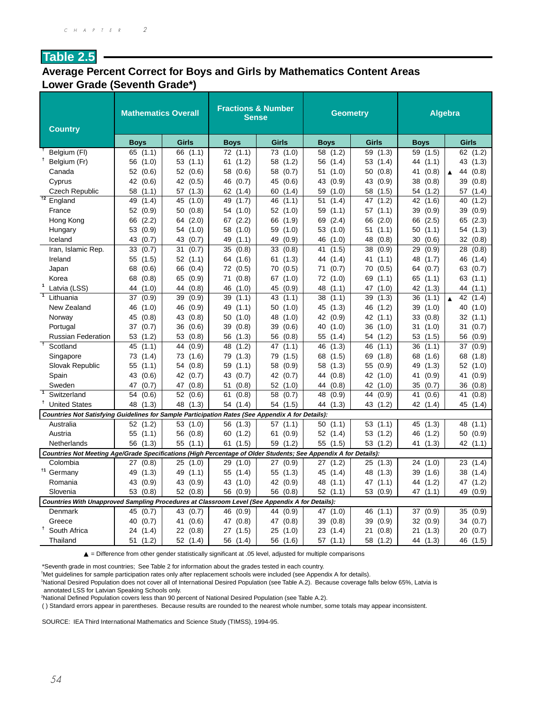#### **Average Percent Correct for Boys and Girls by Mathematics Content Areas Lower Grade (Seventh Grade\*)**

| <b>Country</b>                                                                                                  | <b>Mathematics Overall</b> |             | <b>Fractions &amp; Number</b><br><b>Sense</b> |              | Geometry    |             | <b>Algebra</b> |                                 |  |
|-----------------------------------------------------------------------------------------------------------------|----------------------------|-------------|-----------------------------------------------|--------------|-------------|-------------|----------------|---------------------------------|--|
|                                                                                                                 | <b>Boys</b>                | Girls       | <b>Boys</b>                                   | <b>Girls</b> | <b>Boys</b> | Girls       | <b>Boys</b>    | Girls                           |  |
| Belgium (FI)                                                                                                    | (1.1)<br>65                | 66<br>(1.1) | 72(1.1)                                       | 73<br>(1.0)  | 58<br>(1.2) | 59<br>(1.3) | 59<br>(1.5)    | 62 (1.2)                        |  |
| t<br>Belgium (Fr)                                                                                               | 56<br>(1.0)                | (1.1)<br>53 | (1.2)<br>61                                   | 58<br>(1.2)  | 56 (1.4)    | 53<br>(1.4) | 44 (1.1)       | 43 (1.3)                        |  |
| Canada                                                                                                          | 52<br>(0.6)                | 52<br>(0.6) | 58<br>(0.6)                                   | 58<br>(0.7)  | 51 (1.0)    | (0.8)<br>50 | (0.8)<br>41    | 44<br>(0.8)<br>$\blacktriangle$ |  |
| Cyprus                                                                                                          | 42<br>(0.6)                | 42<br>(0.5) | 46<br>(0.7)                                   | 45<br>(0.6)  | (0.9)<br>43 | 43<br>(0.9) | 38<br>(0.8)    | 39<br>(0.8)                     |  |
| <b>Czech Republic</b>                                                                                           | 58<br>(1.1)                | (1.3)<br>57 | 62<br>(1.4)                                   | 60<br>(1.4)  | 59<br>(1.0) | 58<br>(1.5) | 54<br>(1.2)    | 57<br>(1.4)                     |  |
| $\overline{12}$<br>England                                                                                      | 49<br>(1.4)                | (1.0)<br>45 | (1.7)<br>49                                   | (1.1)<br>46  | 51<br>(1.4) | (1.2)<br>47 | 42<br>(1.6)    | 40<br>(1.2)                     |  |
| France                                                                                                          | 52<br>(0.9)                | 50<br>(0.8) | 54<br>(1.0)                                   | 52<br>(1.0)  | 59<br>(1.1) | 57<br>(1.1) | (0.9)<br>39    | 39<br>(0.9)                     |  |
| Hong Kong                                                                                                       | (2.2)<br>66                | (2.0)<br>64 | (2.2)<br>67                                   | 66<br>(1.9)  | 69 (2.4)    | (2.0)<br>66 | (2.5)<br>66    | (2.3)<br>65                     |  |
| Hungary                                                                                                         | 53<br>(0.9)                | 54<br>(1.0) | (1.0)<br>58                                   | 59<br>(1.0)  | 53 (1.0)    | 51<br>(1.1) | (1.1)<br>50    | 54<br>(1.3)                     |  |
| Iceland                                                                                                         | 43<br>(0.7)                | 43<br>(0.7) | 49<br>(1.1)                                   | 49<br>(0.9)  | 46<br>(1.0) | 48<br>(0.8) | 30<br>(0.6)    | 32<br>(0.8)                     |  |
| Iran, Islamic Rep.                                                                                              | (0.7)<br>33                | (0.7)<br>31 | 35<br>(0.8)                                   | 33<br>(0.8)  | 41<br>(1.5) | (0.9)<br>38 | 29<br>(0.9)    | 28<br>(0.8)                     |  |
| Ireland                                                                                                         | 55<br>(1.5)                | 52<br>(1.1) | 64<br>(1.6)                                   | 61<br>(1.3)  | 44<br>(1.4) | 41<br>(1.1) | 48<br>(1.7)    | 46<br>(1.4)                     |  |
| Japan                                                                                                           | 68<br>(0.6)                | 66<br>(0.4) | 72<br>(0.5)                                   | 70<br>(0.5)  | (0.7)<br>71 | 70<br>(0.5) | 64 (0.7)       | 63<br>(0.7)                     |  |
| Korea                                                                                                           | (0.8)<br>68                | (0.9)<br>65 | 71<br>(0.8)                                   | (1.0)<br>67  | 72 (1.0)    | 69<br>(1.1) | 65 (1.1)       | 63<br>(1.1)                     |  |
| $\mathbf{1}$<br>Latvia (LSS)                                                                                    | 44<br>(1.0)                | (0.8)<br>44 | 46<br>(1.0)                                   | 45<br>(0.9)  | 48<br>(1.1) | 47<br>(1.0) | 42<br>(1.3)    | 44<br>(1.1)                     |  |
| $\overline{1}$<br>Lithuania                                                                                     | (0.9)<br>37                | (0.9)<br>39 | 39<br>(1.1)                                   | 43<br>(1.1)  | (1.1)<br>38 | (1.3)<br>39 | (1.1)<br>36    | 42 (1.4)<br>$\blacktriangle$    |  |
| New Zealand                                                                                                     | 46<br>(1.0)                | 46<br>(0.9) | 49<br>(1.1)                                   | 50<br>(1.0)  | 45 (1.3)    | (1.2)<br>46 | 39<br>(1.0)    | 40<br>(1.0)                     |  |
| Norway                                                                                                          | 45<br>(0.8)                | 43<br>(0.8) | (1.0)<br>50                                   | 48<br>(1.0)  | 42 (0.9)    | 42 (1.1)    | 33<br>(0.8)    | 32(1.1)                         |  |
| Portugal                                                                                                        | 37<br>(0.7)                | 36<br>(0.6) | 39<br>(0.8)                                   | 39<br>(0.6)  | 40 (1.0)    | 36<br>(1.0) | 31<br>(1.0)    | 31<br>(0.7)                     |  |
| <b>Russian Federation</b>                                                                                       | 53<br>(1.2)                | 53<br>(0.8) | (1.3)<br>56                                   | 56<br>(0.8)  | 55<br>(1.4) | 54<br>(1.2) | 53<br>(1.5)    | 56<br>(0.9)                     |  |
| $\overline{1}$<br>Scotland                                                                                      | 45<br>(1.1)                | 44<br>(0.9) | (1.2)<br>48                                   | 47<br>(1.1)  | 46<br>(1.3) | (1.1)<br>46 | 36<br>(1.1)    | 37<br>(0.9)                     |  |
| Singapore                                                                                                       | 73<br>(1.4)                | 73<br>(1.6) | (1.3)<br>79                                   | 79<br>(1.5)  | 68 (1.5)    | 69<br>(1.8) | 68<br>(1.6)    | 68<br>(1.8)                     |  |
| Slovak Republic                                                                                                 | 55<br>(1.1)                | (0.8)<br>54 | (1.1)<br>59                                   | 58<br>(0.9)  | 58 (1.3)    | (0.9)<br>55 | 49<br>(1.3)    | 52(1.0)                         |  |
| Spain                                                                                                           | (0.6)<br>43                | 42<br>(0.7) | (0.7)<br>43                                   | 42<br>(0.7)  | (0.8)<br>44 | 42 (1.0)    | (0.9)<br>41    | (0.9)<br>41                     |  |
| Sweden                                                                                                          | 47<br>(0.7)                | 47<br>(0.8) | 51<br>(0.8)                                   | 52<br>(1.0)  | 44<br>(0.8) | 42<br>(1.0) | 35<br>(0.7)    | 36<br>(0.8)                     |  |
| $\overline{1}$<br>Switzerland                                                                                   | 54<br>(0.6)                | 52<br>(0.6) | 61<br>(0.8)                                   | 58<br>(0.7)  | 48<br>(0.9) | (0.9)<br>44 | 41<br>(0.6)    | 41<br>(0.8)                     |  |
| Ť<br><b>United States</b>                                                                                       | 48<br>(1.3)                | 48<br>(1.3) | 54<br>(1.4)                                   | 54<br>(1.5)  | 44<br>(1.3) | 43 (1.2)    | 42<br>(1.4)    | 45<br>(1.4)                     |  |
| Countries Not Satisfying Guidelines for Sample Participation Rates (See Appendix A for Details):                |                            |             |                                               |              |             |             |                |                                 |  |
| Australia                                                                                                       | (1.2)<br>52                | 53<br>(1.0) | 56 (1.3)                                      | 57(1.1)      | 50(1.1)     | 53 (1.1)    | 45 (1.3)       | (1.1)<br>48                     |  |
| Austria                                                                                                         | 55<br>(1.1)                | 56<br>(0.8) | 60<br>(1.2)                                   | 61<br>(0.9)  | 52 (1.4)    | 53 (1.2)    | (1.2)<br>46    | 50<br>(0.9)                     |  |
| Netherlands                                                                                                     | (1.3)<br>56                | 55<br>(1.1) | 61<br>(1.5)                                   | 59<br>(1.2)  | 55 (1.5)    | 53 (1.2)    | 41<br>(1.3)    | 42 (1.1)                        |  |
| Countries Not Meeting Age/Grade Specifications (High Percentage of Older Students; See Appendix A for Details): |                            |             |                                               |              |             |             |                |                                 |  |
| Colombia                                                                                                        | (0.8)<br>27                | 25<br>(1.0) | 29<br>(1.0)                                   | 27<br>(0.9)  | 27 (1.2)    | 25 (1.3)    | (1.0)<br>24    | 23(1.4)                         |  |
| $\dagger$ 1<br>Germany                                                                                          | (1.3)<br>49                | 49<br>(1.1) | 55 (1.4)                                      | 55 (1.3)     | 45 (1.4)    | 48 (1.3)    | (1.6)<br>39    | 38<br>(1.4)                     |  |
| Romania                                                                                                         | 43<br>(0.9)                | 43<br>(0.9) | (1.0)<br>43                                   | 42<br>(0.9)  | 48 (1.1)    | 47 (1.1)    | (1.2)<br>44    | (1.2)<br>47                     |  |
| Slovenia                                                                                                        | 53<br>(0.8)                | 52<br>(0.8) | 56 (0.9)                                      | 56 (0.8)     | 52 (1.1)    | 53 (0.9)    | 47<br>(1.1)    | 49<br>(0.9)                     |  |
| Countries With Unapproved Sampling Procedures at Classroom Level (See Appendix A for Details):                  |                            |             |                                               |              |             |             |                |                                 |  |
| Denmark                                                                                                         | 45<br>(0.7)                | 43<br>(0.7) | 46<br>(0.9)                                   | 44 (0.9)     | 47 (1.0)    | 46<br>(1.1) | (0.9)<br>37    | 35<br>(0.9)                     |  |
| Greece                                                                                                          | 40<br>(0.7)                | 41<br>(0.6) | 47<br>(0.8)                                   | 47<br>(0.8)  | 39 (0.8)    | (0.9)<br>39 | (0.9)<br>32    | (0.7)<br>34                     |  |
| <sup>†</sup> South Africa                                                                                       | 24<br>(1.4)                | 22<br>(0.8) | 27<br>(1.5)                                   | 25<br>(1.0)  | 23 (1.4)    | 21<br>(0.8) | 21 (1.3)       | 20<br>(0.7)                     |  |
| Thailand                                                                                                        | 51<br>(1.2)                | 52 (1.4)    | 56 (1.4)                                      | 56 (1.6)     | 57(1.1)     | 58 (1.2)    | 44 (1.3)       | 46 (1.5)                        |  |

▲ = Difference from other gender statistically significant at .05 level, adjusted for multiple comparisons

\*Seventh grade in most countries; See Table 2 for information about the grades tested in each country.

† Met guidelines for sample participation rates only after replacement schools were included (see Appendix A for details).

1 National Desired Population does not cover all of International Desired Population (see Table A.2). Because coverage falls below 65%, Latvia is

annotated LSS for Latvian Speaking Schools only.

2 National Defined Population covers less than 90 percent of National Desired Population (see Table A.2).

( ) Standard errors appear in parentheses. Because results are rounded to the nearest whole number, some totals may appear inconsistent.